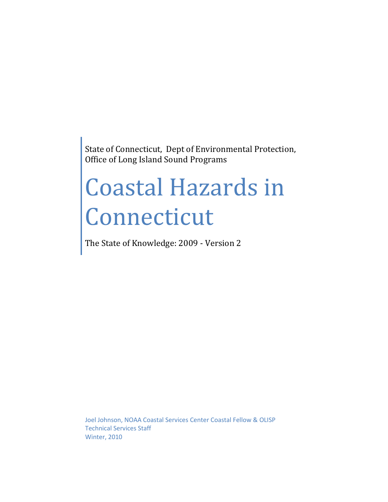State of Connecticut, Dept of Environmental Protection, Office of Long Island Sound Programs

# Coastal Hazards in Connecticut

The State of Knowledge: 2009 - Version 2

Joel Johnson, NOAA Coastal Services Center Coastal Fellow & OLISP Technical Services Staff Winter, 2010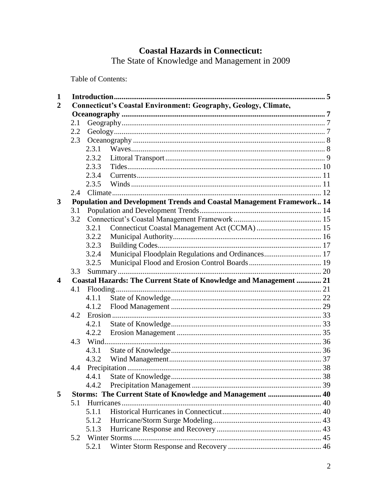# **Coastal Hazards in Connecticut:**

The State of Knowledge and Management in 2009

Table of Contents:

| $\mathbf{1}$     |     |                                                                        |     |  |
|------------------|-----|------------------------------------------------------------------------|-----|--|
| 2                |     | <b>Connecticut's Coastal Environment: Geography, Geology, Climate,</b> |     |  |
|                  |     |                                                                        |     |  |
|                  | 2.1 |                                                                        |     |  |
|                  | 2.2 |                                                                        |     |  |
|                  | 2.3 |                                                                        |     |  |
|                  |     | 2.3.1                                                                  |     |  |
|                  |     | 2.3.2                                                                  |     |  |
|                  |     | 2.3.3                                                                  |     |  |
|                  |     | 2.3.4                                                                  |     |  |
|                  |     | 2.3.5                                                                  |     |  |
|                  | 2.4 |                                                                        |     |  |
| 3                |     | Population and Development Trends and Coastal Management Framework 14  |     |  |
|                  | 3.1 |                                                                        |     |  |
|                  | 3.2 |                                                                        |     |  |
|                  |     | 3.2.1                                                                  |     |  |
|                  |     | 3.2.2                                                                  |     |  |
|                  |     | 3.2.3                                                                  |     |  |
|                  |     | Municipal Floodplain Regulations and Ordinances 17<br>3.2.4            |     |  |
|                  |     | 3.2.5                                                                  |     |  |
|                  | 3.3 |                                                                        |     |  |
|                  |     |                                                                        |     |  |
| $\boldsymbol{4}$ |     | Coastal Hazards: The Current State of Knowledge and Management  21     |     |  |
|                  | 4.1 |                                                                        |     |  |
|                  |     | 4.1.1                                                                  |     |  |
|                  |     | 4.1.2                                                                  |     |  |
|                  | 4.2 |                                                                        |     |  |
|                  |     | 4.2.1                                                                  |     |  |
|                  |     | 4.2.2                                                                  |     |  |
|                  | 4.3 |                                                                        |     |  |
|                  |     | 4.3.1                                                                  |     |  |
|                  |     | 4.3.2                                                                  |     |  |
|                  | 4.4 |                                                                        |     |  |
|                  |     |                                                                        | .38 |  |
|                  |     | 4.4.2                                                                  |     |  |
| 5                |     | Storms: The Current State of Knowledge and Management  40              |     |  |
|                  | 5.1 |                                                                        |     |  |
|                  |     | 5.1.1                                                                  |     |  |
|                  |     | 5.1.2                                                                  |     |  |
|                  |     | 5.1.3                                                                  |     |  |
|                  | 5.2 | 5.2.1                                                                  |     |  |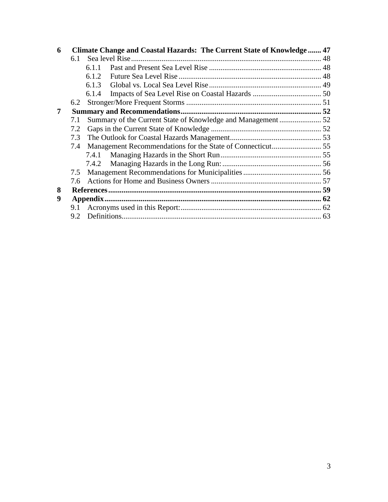| 6 |     | Climate Change and Coastal Hazards: The Current State of Knowledge  47 |  |
|---|-----|------------------------------------------------------------------------|--|
|   | 6.1 |                                                                        |  |
|   |     | 6.1.1                                                                  |  |
|   |     | 6.1.2                                                                  |  |
|   |     | 6.1.3                                                                  |  |
|   |     | 6.1.4                                                                  |  |
|   | 6.2 |                                                                        |  |
| 7 |     |                                                                        |  |
|   | 7.1 |                                                                        |  |
|   | 7.2 |                                                                        |  |
|   | 7.3 |                                                                        |  |
|   | 7.4 |                                                                        |  |
|   |     |                                                                        |  |
|   |     |                                                                        |  |
|   | 7.5 |                                                                        |  |
|   | 7.6 |                                                                        |  |
| 8 |     |                                                                        |  |
| 9 |     |                                                                        |  |
|   |     |                                                                        |  |
|   | 9.2 |                                                                        |  |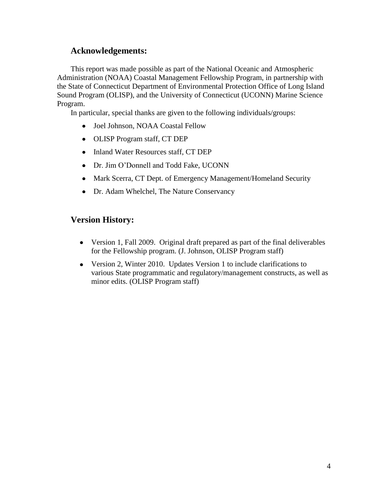# **Acknowledgements:**

This report was made possible as part of the National Oceanic and Atmospheric Administration (NOAA) Coastal Management Fellowship Program, in partnership with the State of Connecticut Department of Environmental Protection Office of Long Island Sound Program (OLISP), and the University of Connecticut (UCONN) Marine Science Program.

In particular, special thanks are given to the following individuals/groups:

- Joel Johnson, NOAA Coastal Fellow
- OLISP Program staff, CT DEP
- Inland Water Resources staff, CT DEP
- Dr. Jim O'Donnell and Todd Fake, UCONN
- Mark Scerra, CT Dept. of Emergency Management/Homeland Security
- Dr. Adam Whelchel, The Nature Conservancy

# **Version History:**

- Version 1, Fall 2009. Original draft prepared as part of the final deliverables for the Fellowship program. (J. Johnson, OLISP Program staff)
- Version 2, Winter 2010. Updates Version 1 to include clarifications to various State programmatic and regulatory/management constructs, as well as minor edits. (OLISP Program staff)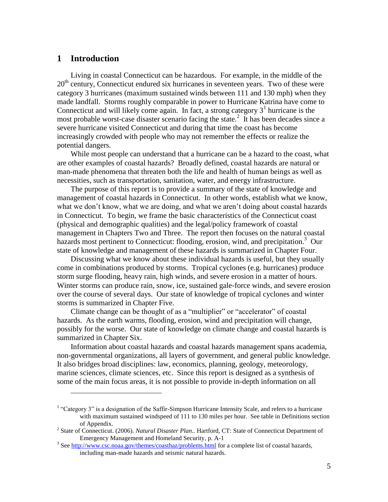# <span id="page-4-0"></span>**1 Introduction**

 $\overline{a}$ 

Living in coastal Connecticut can be hazardous. For example, in the middle of the 20<sup>th</sup> century, Connecticut endured six hurricanes in seventeen years. Two of these were category 3 hurricanes (maximum sustained winds between 111 and 130 mph) when they made landfall. Storms roughly comparable in power to Hurricane Katrina have come to Connecticut and will likely come again. In fact, a strong category  $3<sup>1</sup>$  hurricane is the most probable worst-case disaster scenario facing the state.<sup>2</sup> It has been decades since a severe hurricane visited Connecticut and during that time the coast has become increasingly crowded with people who may not remember the effects or realize the potential dangers.

While most people can understand that a hurricane can be a hazard to the coast, what are other examples of coastal hazards? Broadly defined, coastal hazards are natural or man-made phenomena that threaten both the life and health of human beings as well as necessities, such as transportation, sanitation, water, and energy infrastructure.

The purpose of this report is to provide a summary of the state of knowledge and management of coastal hazards in Connecticut. In other words, establish what we know, what we don't know, what we are doing, and what we aren't doing about coastal hazards in Connecticut. To begin, we frame the basic characteristics of the Connecticut coast (physical and demographic qualities) and the legal/policy framework of coastal management in Chapters Two and Three. The report then focuses on the natural coastal hazards most pertinent to Connecticut: flooding, erosion, wind, and precipitation.<sup>3</sup> Our state of knowledge and management of these hazards is summarized in Chapter Four.

Discussing what we know about these individual hazards is useful, but they usually come in combinations produced by storms. Tropical cyclones (e.g. hurricanes) produce storm surge flooding, heavy rain, high winds, and severe erosion in a matter of hours. Winter storms can produce rain, snow, ice, sustained gale-force winds, and severe erosion over the course of several days. Our state of knowledge of tropical cyclones and winter storms is summarized in Chapter Five.

Climate change can be thought of as a "multiplier" or "accelerator" of coastal hazards. As the earth warms, flooding, erosion, wind and precipitation will change, possibly for the worse. Our state of knowledge on climate change and coastal hazards is summarized in Chapter Six.

Information about coastal hazards and coastal hazards management spans academia, non-governmental organizations, all layers of government, and general public knowledge. It also bridges broad disciplines: law, economics, planning, geology, meteorology, marine sciences, climate sciences, etc. Since this report is designed as a synthesis of some of the main focus areas, it is not possible to provide in-depth information on all

 $1$  "Category 3" is a designation of the Saffir-Simpson Hurricane Intensity Scale, and refers to a hurricane with maximum sustained windspeed of 111 to 130 miles per hour. See table in Definitions section of Appendix.

<sup>&</sup>lt;sup>2</sup> State of Connecticut. (2006). *Natural Disaster Plan.*. Hartford, CT: State of Connecticut Department of Emergency Management and Homeland Security, p. A-1

<sup>&</sup>lt;sup>3</sup> Se[e http://www.csc.noaa.gov/themes/coasthaz/problems.html](http://www.csc.noaa.gov/themes/coasthaz/problems.html) for a complete list of coastal hazards, including man-made hazards and seismic natural hazards.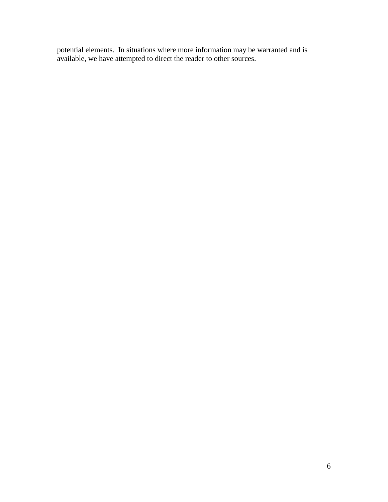potential elements. In situations where more information may be warranted and is available, we have attempted to direct the reader to other sources.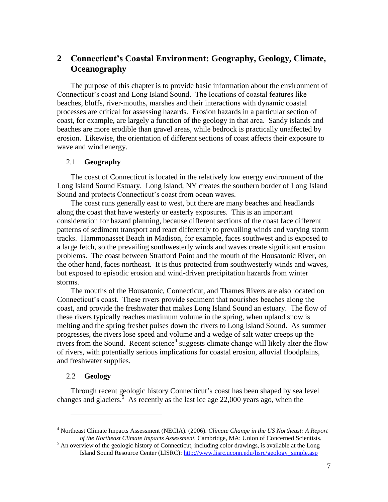# <span id="page-6-0"></span>**2 Connecticut's Coastal Environment: Geography, Geology, Climate, Oceanography**

The purpose of this chapter is to provide basic information about the environment of Connecticut's coast and Long Island Sound. The locations of coastal features like beaches, bluffs, river-mouths, marshes and their interactions with dynamic coastal processes are critical for assessing hazards. Erosion hazards in a particular section of coast, for example, are largely a function of the geology in that area. Sandy islands and beaches are more erodible than gravel areas, while bedrock is practically unaffected by erosion. Likewise, the orientation of different sections of coast affects their exposure to wave and wind energy.

## <span id="page-6-1"></span>2.1 **Geography**

The coast of Connecticut is located in the relatively low energy environment of the Long Island Sound Estuary. Long Island, NY creates the southern border of Long Island Sound and protects Connecticut's coast from ocean waves.

The coast runs generally east to west, but there are many beaches and headlands along the coast that have westerly or easterly exposures. This is an important consideration for hazard planning, because different sections of the coast face different patterns of sediment transport and react differently to prevailing winds and varying storm tracks. Hammonasset Beach in Madison, for example, faces southwest and is exposed to a large fetch, so the prevailing southwesterly winds and waves create significant erosion problems. The coast between Stratford Point and the mouth of the Housatonic River, on the other hand, faces northeast. It is thus protected from southwesterly winds and waves, but exposed to episodic erosion and wind-driven precipitation hazards from winter storms.

The mouths of the Housatonic, Connecticut, and Thames Rivers are also located on Connecticut's coast. These rivers provide sediment that nourishes beaches along the coast, and provide the freshwater that makes Long Island Sound an estuary. The flow of these rivers typically reaches maximum volume in the spring, when upland snow is melting and the spring freshet pulses down the rivers to Long Island Sound. As summer progresses, the rivers lose speed and volume and a wedge of salt water creeps up the rivers from the Sound. Recent science<sup>4</sup> suggests climate change will likely alter the flow of rivers, with potentially serious implications for coastal erosion, alluvial floodplains, and freshwater supplies.

# <span id="page-6-2"></span>2.2 **Geology**

 $\overline{a}$ 

Through recent geologic history Connecticut's coast has been shaped by sea level changes and glaciers.<sup>5</sup> As recently as the last ice age 22,000 years ago, when the

<sup>4</sup> Northeast Climate Impacts Assessment (NECIA). (2006). *Climate Change in the US Northeast: A Report of the Northeast Climate Impacts Assessment.* Cambridge, MA: Union of Concerned Scientists.

<sup>&</sup>lt;sup>5</sup> An overview of the geologic history of Connecticut, including color drawings, is available at the Long Island Sound Resource Center (LISRC): [http://www.lisrc.uconn.edu/lisrc/geology\\_simple.asp](http://www.lisrc.uconn.edu/lisrc/geology_simple.asp)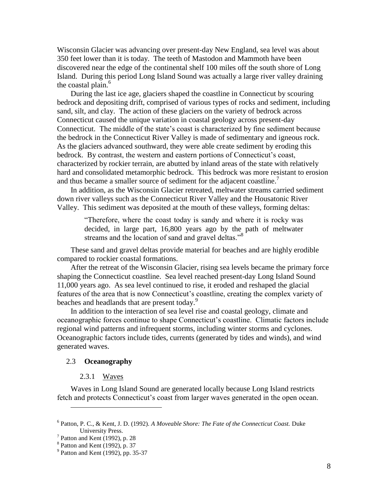Wisconsin Glacier was advancing over present-day New England, sea level was about 350 feet lower than it is today. The teeth of Mastodon and Mammoth have been discovered near the edge of the continental shelf 100 miles off the south shore of Long Island. During this period Long Island Sound was actually a large river valley draining the coastal plain. 6

During the last ice age, glaciers shaped the coastline in Connecticut by scouring bedrock and depositing drift, comprised of various types of rocks and sediment, including sand, silt, and clay. The action of these glaciers on the variety of bedrock across Connecticut caused the unique variation in coastal geology across present-day Connecticut. The middle of the state's coast is characterized by fine sediment because the bedrock in the Connecticut River Valley is made of sedimentary and igneous rock. As the glaciers advanced southward, they were able create sediment by eroding this bedrock. By contrast, the western and eastern portions of Connecticut's coast, characterized by rockier terrain, are abutted by inland areas of the state with relatively hard and consolidated metamorphic bedrock. This bedrock was more resistant to erosion and thus became a smaller source of sediment for the adjacent coastline.<sup>7</sup>

In addition, as the Wisconsin Glacier retreated, meltwater streams carried sediment down river valleys such as the Connecticut River Valley and the Housatonic River Valley. This sediment was deposited at the mouth of these valleys, forming deltas:

―Therefore, where the coast today is sandy and where it is rocky was decided, in large part, 16,800 years ago by the path of meltwater streams and the location of sand and gravel deltas."<sup>8</sup>

These sand and gravel deltas provide material for beaches and are highly erodible compared to rockier coastal formations.

After the retreat of the Wisconsin Glacier, rising sea levels became the primary force shaping the Connecticut coastline. Sea level reached present-day Long Island Sound 11,000 years ago. As sea level continued to rise, it eroded and reshaped the glacial features of the area that is now Connecticut's coastline, creating the complex variety of beaches and headlands that are present today.<sup>9</sup>

In addition to the interaction of sea level rise and coastal geology, climate and oceanographic forces continue to shape Connecticut's coastline. Climatic factors include regional wind patterns and infrequent storms, including winter storms and cyclones. Oceanographic factors include tides, currents (generated by tides and winds), and wind generated waves.

#### <span id="page-7-0"></span>2.3 **Oceanography**

#### 2.3.1 Waves

<span id="page-7-1"></span>Waves in Long Island Sound are generated locally because Long Island restricts fetch and protects Connecticut's coast from larger waves generated in the open ocean.

<sup>6</sup> Patton, P. C., & Kent, J. D. (1992). *A Moveable Shore: The Fate of the Connecticut Coast.* Duke University Press.

<sup>7</sup> Patton and Kent (1992), p. 28

<sup>8</sup> Patton and Kent (1992), p. 37

<sup>&</sup>lt;sup>9</sup> Patton and Kent (1992), pp. 35-37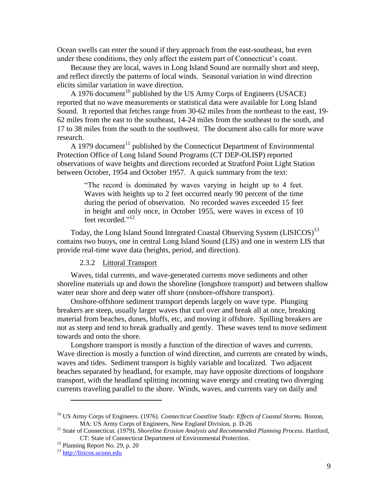Ocean swells can enter the sound if they approach from the east-southeast, but even under these conditions, they only affect the eastern part of Connecticut's coast.

Because they are local, waves in Long Island Sound are normally short and steep, and reflect directly the patterns of local winds. Seasonal variation in wind direction elicits similar variation in wave direction.

A 1976 document<sup>10</sup> published by the US Army Corps of Engineers (USACE) reported that no wave measurements or statistical data were available for Long Island Sound. It reported that fetches range from 30-62 miles from the northeast to the east, 19- 62 miles from the east to the southeast, 14-24 miles from the southeast to the south, and 17 to 38 miles from the south to the southwest. The document also calls for more wave research.

A 1979 document<sup>11</sup> published by the Connecticut Department of Environmental Protection Office of Long Island Sound Programs (CT DEP-OLISP) reported observations of wave heights and directions recorded at Stratford Point Light Station between October, 1954 and October 1957. A quick summary from the text:

> ―The record is dominated by waves varying in height up to 4 feet. Waves with heights up to 2 feet occurred nearly 90 percent of the time during the period of observation. No recorded waves exceeded 15 feet in height and only once, in October 1955, were waves in excess of 10 feet recorded."<sup>12</sup>

Today, the Long Island Sound Integrated Coastal Observing System (LISICOS)<sup>13</sup> contains two buoys, one in central Long Island Sound (LIS) and one in western LIS that provide real-time wave data (heights, period, and direction).

#### 2.3.2 Littoral Transport

<span id="page-8-0"></span>Waves, tidal currents, and wave-generated currents move sediments and other shoreline materials up and down the shoreline (longshore transport) and between shallow water near shore and deep water off shore (onshore-offshore transport).

Onshore-offshore sediment transport depends largely on wave type. Plunging breakers are steep, usually larger waves that curl over and break all at once, breaking material from beaches, dunes, bluffs, etc, and moving it offshore. Spilling breakers are not as steep and tend to break gradually and gently. These waves tend to move sediment towards and onto the shore.

Longshore transport is mostly a function of the direction of waves and currents. Wave direction is mostly a function of wind direction, and currents are created by winds, waves and tides. Sediment transport is highly variable and localized. Two adjacent beaches separated by headland, for example, may have opposite directions of longshore transport, with the headland splitting incoming wave energy and creating two diverging currents traveling parallel to the shore. Winds, waves, and currents vary on daily and

<sup>10</sup> US Army Corps of Engineers. (1976). *Connecticut Coastline Study: Effects of Coastal Storms.* Boston, MA: US Army Corps of Engineers, New England Division, p. D-26

<sup>&</sup>lt;sup>11</sup> State of Connecticut. (1979). *Shoreline Erosion Analysis and Recommended Planning Process*. Hartford, CT: State of Connecticut Department of Environmental Protection.

 $12$  Planning Report No. 29, p. 20

<sup>13</sup> [http://lisicos.uconn.edu](http://lisicos.uconn.edu/)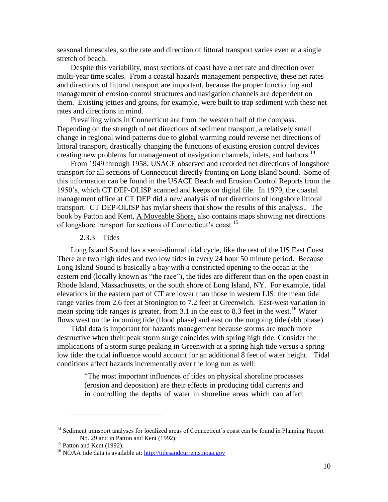seasonal timescales, so the rate and direction of littoral transport varies even at a single stretch of beach.

Despite this variability, most sections of coast have a net rate and direction over multi-year time scales. From a coastal hazards management perspective, these net rates and directions of littoral transport are important, because the proper functioning and management of erosion control structures and navigation channels are dependent on them. Existing jetties and groins, for example, were built to trap sediment with these net rates and directions in mind.

Prevailing winds in Connecticut are from the western half of the compass. Depending on the strength of net directions of sediment transport, a relatively small change in regional wind patterns due to global warming could reverse net directions of littoral transport, drastically changing the functions of existing erosion control devices creating new problems for management of navigation channels, inlets, and harbors.<sup>14</sup>

From 1949 through 1958, USACE observed and recorded net directions of longshore transport for all sections of Connecticut directly fronting on Long Island Sound. Some of this information can be found in the USACE Beach and Erosion Control Reports from the 1950's, which CT DEP-OLISP scanned and keeps on digital file. In 1979, the coastal management office at CT DEP did a new analysis of net directions of longshore littoral transport. CT DEP-OLISP has mylar sheets that show the results of this analysis.. The book by Patton and Kent, A Moveable Shore, also contains maps showing net directions of longshore transport for sections of Connecticut's coast.<sup>15</sup>

#### 2.3.3 Tides

<span id="page-9-0"></span>Long Island Sound has a semi-diurnal tidal cycle, like the rest of the US East Coast. There are two high tides and two low tides in every 24 hour 50 minute period. Because Long Island Sound is basically a bay with a constricted opening to the ocean at the eastern end (locally known as "the race"), the tides are different than on the open coast in Rhode Island, Massachusetts, or the south shore of Long Island, NY. For example, tidal elevations in the eastern part of CT are lower than those in western LIS: the mean tide range varies from 2.6 feet at Stonington to 7.2 feet at Greenwich. East-west variation in mean spring tide ranges is greater, from 3.1 in the east to 8.3 feet in the west.<sup>16</sup> Water flows west on the incoming tide (flood phase) and east on the outgoing tide (ebb phase).

Tidal data is important for hazards management because storms are much more destructive when their peak storm surge coincides with spring high tide. Consider the implications of a storm surge peaking in Greenwich at a spring high tide versus a spring low tide: the tidal influence would account for an additional 8 feet of water height. Tidal conditions affect hazards incrementally over the long run as well:

―The most important influences of tides on physical shoreline processes (erosion and deposition) are their effects in producing tidal currents and in controlling the depths of water in shoreline areas which can affect

<sup>&</sup>lt;sup>14</sup> Sediment transport analyses for localized areas of Connecticut's coast can be found in Planning Report No. 29 and in Patton and Kent (1992).

<sup>&</sup>lt;sup>15</sup> Patton and Kent (1992).

<sup>&</sup>lt;sup>16</sup> NOAA tide data is available at: [http://tidesandcurrents.noaa.gov](http://tidesandcurrents.noaa.gov/)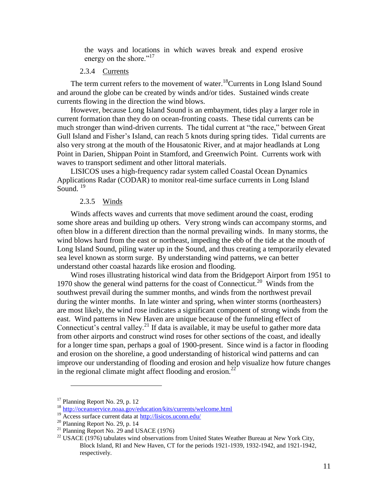the ways and locations in which waves break and expend erosive energy on the shore."<sup>17</sup>

#### 2.3.4 Currents

<span id="page-10-0"></span>The term current refers to the movement of water.<sup>18</sup>Currents in Long Island Sound and around the globe can be created by winds and/or tides. Sustained winds create currents flowing in the direction the wind blows.

However, because Long Island Sound is an embayment, tides play a larger role in current formation than they do on ocean-fronting coasts. These tidal currents can be much stronger than wind-driven currents. The tidal current at "the race," between Great Gull Island and Fisher's Island, can reach 5 knots during spring tides. Tidal currents are also very strong at the mouth of the Housatonic River, and at major headlands at Long Point in Darien, Shippan Point in Stamford, and Greenwich Point. Currents work with waves to transport sediment and other littoral materials.

LISICOS uses a high-frequency radar system called Coastal Ocean Dynamics Applications Radar (CODAR) to monitor real-time surface currents in Long Island Sound.  $^{19}$ 

#### 2.3.5 Winds

<span id="page-10-1"></span>Winds affects waves and currents that move sediment around the coast, eroding some shore areas and building up others. Very strong winds can accompany storms, and often blow in a different direction than the normal prevailing winds. In many storms, the wind blows hard from the east or northeast, impeding the ebb of the tide at the mouth of Long Island Sound, piling water up in the Sound, and thus creating a temporarily elevated sea level known as storm surge. By understanding wind patterns, we can better understand other coastal hazards like erosion and flooding.

Wind roses illustrating historical wind data from the Bridgeport Airport from 1951 to 1970 show the general wind patterns for the coast of Connecticut.<sup>20</sup> Winds from the southwest prevail during the summer months, and winds from the northwest prevail during the winter months. In late winter and spring, when winter storms (northeasters) are most likely, the wind rose indicates a significant component of strong winds from the east. Wind patterns in New Haven are unique because of the funneling effect of Connecticut's central valley.<sup>21</sup> If data is available, it may be useful to gather more data from other airports and construct wind roses for other sections of the coast, and ideally for a longer time span, perhaps a goal of 1900-present. Since wind is a factor in flooding and erosion on the shoreline, a good understanding of historical wind patterns and can improve our understanding of flooding and erosion and help visualize how future changes in the regional climate might affect flooding and erosion.<sup>22</sup>

 $17$  Planning Report No. 29, p. 12

<sup>18</sup> <http://oceanservice.noaa.gov/education/kits/currents/welcome.html>

<sup>&</sup>lt;sup>19</sup> Access surface current data at http://lisicos.uconn.edu/

 $20$  Planning Report No. 29, p. 14

<sup>&</sup>lt;sup>21</sup> Planning Report No. 29 and USACE (1976)

 $22$  USACE (1976) tabulates wind observations from United States Weather Bureau at New York City, Block Island, RI and New Haven, CT for the periods 1921-1939, 1932-1942, and 1921-1942, respectively.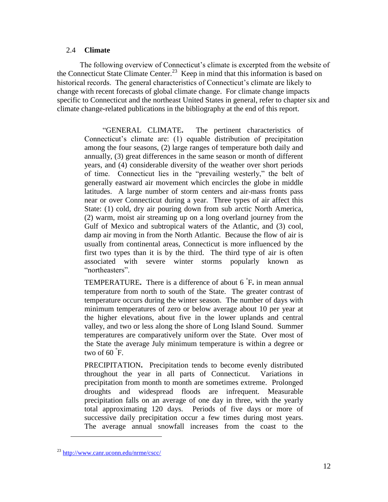# <span id="page-11-0"></span>2.4 **Climate**

The following overview of Connecticut's climate is excerpted from the website of the Connecticut State Climate Center.<sup>23</sup> Keep in mind that this information is based on historical records. The general characteristics of Connecticut's climate are likely to change with recent forecasts of global climate change. For climate change impacts specific to Connecticut and the northeast United States in general, refer to chapter six and climate change-related publications in the bibliography at the end of this report.

―GENERAL CLIMATE**.** The pertinent characteristics of Connecticut's climate are: (1) equable distribution of precipitation among the four seasons, (2) large ranges of temperature both daily and annually, (3) great differences in the same season or month of different years, and (4) considerable diversity of the weather over short periods of time. Connecticut lies in the "prevailing westerly," the belt of generally eastward air movement which encircles the globe in middle latitudes. A large number of storm centers and air-mass fronts pass near or over Connecticut during a year. Three types of air affect this State: (1) cold, dry air pouring down from sub arctic North America, (2) warm, moist air streaming up on a long overland journey from the Gulf of Mexico and subtropical waters of the Atlantic, and (3) cool, damp air moving in from the North Atlantic. Because the flow of air is usually from continental areas, Connecticut is more influenced by the first two types than it is by the third. The third type of air is often associated with severe winter storms popularly known as "northeasters"

TEMPERATURE**.** There is a difference of about 6 ° F**.** in mean annual temperature from north to south of the State. The greater contrast of temperature occurs during the winter season. The number of days with minimum temperatures of zero or below average about 10 per year at the higher elevations, about five in the lower uplands and central valley, and two or less along the shore of Long Island Sound. Summer temperatures are comparatively uniform over the State. Over most of the State the average July minimum temperature is within a degree or two of 60 **°** F.

PRECIPITATION**.** Precipitation tends to become evenly distributed throughout the year in all parts of Connecticut. Variations in precipitation from month to month are sometimes extreme. Prolonged droughts and widespread floods are infrequent. Measurable precipitation falls on an average of one day in three, with the yearly total approximating 120 days. Periods of five days or more of successive daily precipitation occur a few times during most years. The average annual snowfall increases from the coast to the

<sup>23</sup> <http://www.canr.uconn.edu/nrme/cscc/>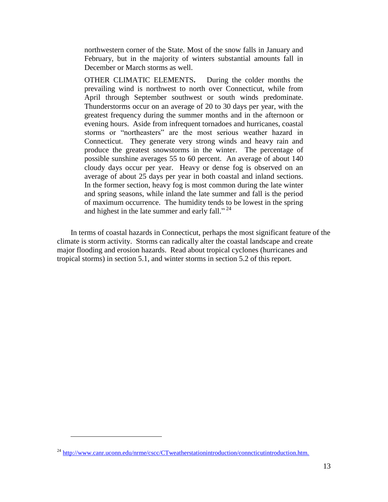northwestern corner of the State. Most of the snow falls in January and February, but in the majority of winters substantial amounts fall in December or March storms as well.

OTHER CLIMATIC ELEMENTS**.** During the colder months the prevailing wind is northwest to north over Connecticut, while from April through September southwest or south winds predominate. Thunderstorms occur on an average of 20 to 30 days per year, with the greatest frequency during the summer months and in the afternoon or evening hours. Aside from infrequent tornadoes and hurricanes, coastal storms or "northeasters" are the most serious weather hazard in Connecticut. They generate very strong winds and heavy rain and produce the greatest snowstorms in the winter. The percentage of possible sunshine averages 55 to 60 percent. An average of about 140 cloudy days occur per year. Heavy or dense fog is observed on an average of about 25 days per year in both coastal and inland sections. In the former section, heavy fog is most common during the late winter and spring seasons, while inland the late summer and fall is the period of maximum occurrence. The humidity tends to be lowest in the spring and highest in the late summer and early fall."<sup>24</sup>

In terms of coastal hazards in Connecticut, perhaps the most significant feature of the climate is storm activity. Storms can radically alter the coastal landscape and create major flooding and erosion hazards. Read about tropical cyclones (hurricanes and tropical storms) in section 5.1, and winter storms in section 5.2 of this report.

 $^{24}$  <http://www.canr.uconn.edu/nrme/cscc/CTweatherstationintroduction/conncticutintroduction.htm.>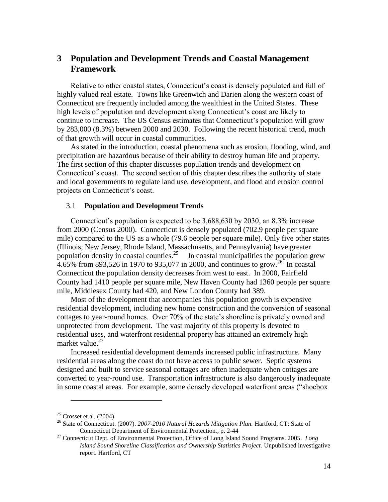# <span id="page-13-0"></span>**3 Population and Development Trends and Coastal Management Framework**

Relative to other coastal states, Connecticut's coast is densely populated and full of highly valued real estate. Towns like Greenwich and Darien along the western coast of Connecticut are frequently included among the wealthiest in the United States. These high levels of population and development along Connecticut's coast are likely to continue to increase. The US Census estimates that Connecticut's population will grow by 283,000 (8.3%) between 2000 and 2030. Following the recent historical trend, much of that growth will occur in coastal communities.

As stated in the introduction, coastal phenomena such as erosion, flooding, wind, and precipitation are hazardous because of their ability to destroy human life and property. The first section of this chapter discusses population trends and development on Connecticut's coast. The second section of this chapter describes the authority of state and local governments to regulate land use, development, and flood and erosion control projects on Connecticut's coast.

#### <span id="page-13-1"></span>3.1 **Population and Development Trends**

Connecticut's population is expected to be 3,688,630 by 2030, an 8.3% increase from 2000 (Census 2000). Connecticut is densely populated (702.9 people per square mile) compared to the US as a whole (79.6 people per square mile). Only five other states (Illinois, New Jersey, Rhode Island, Massachusetts, and Pennsylvania) have greater population density in coastal counties.<sup>25</sup> In coastal municipalities the population grew  $4.65\%$  from 893,526 in 1970 to 935,077 in 2000, and continues to grow.<sup>26</sup> In coastal Connecticut the population density decreases from west to east. In 2000, Fairfield County had 1410 people per square mile, New Haven County had 1360 people per square mile, Middlesex County had 420, and New London County had 389.

Most of the development that accompanies this population growth is expensive residential development, including new home construction and the conversion of seasonal cottages to year-round homes. Over 70% of the state's shoreline is privately owned and unprotected from development. The vast majority of this property is devoted to residential uses, and waterfront residential property has attained an extremely high market value. $27$ 

Increased residential development demands increased public infrastructure. Many residential areas along the coast do not have access to public sewer. Septic systems designed and built to service seasonal cottages are often inadequate when cottages are converted to year-round use. Transportation infrastructure is also dangerously inadequate in some coastal areas. For example, some densely developed waterfront areas ("shoebox"

 $25$  Crosset et al. (2004)

<sup>26</sup> State of Connecticut. (2007). *2007-2010 Natural Hazards Mitigation Plan.* Hartford, CT: State of Connecticut Department of Environmental Protection., p. 2-44

<sup>27</sup> Connecticut Dept. of Environmental Protection, Office of Long Island Sound Programs. 2005. *Long Island Sound Shoreline Classification and Ownership Statistics Project.* Unpublished investigative report. Hartford, CT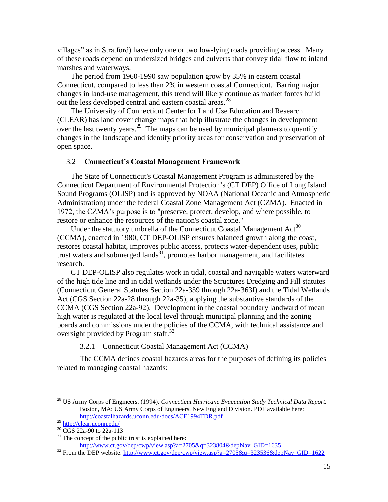villages" as in Stratford) have only one or two low-lying roads providing access. Many of these roads depend on undersized bridges and culverts that convey tidal flow to inland marshes and waterways.

The period from 1960-1990 saw population grow by 35% in eastern coastal Connecticut, compared to less than 2% in western coastal Connecticut. Barring major changes in land-use management, this trend will likely continue as market forces build out the less developed central and eastern coastal areas.<sup>28</sup>

The University of Connecticut Center for Land Use Education and Research (CLEAR) has land cover change maps that help illustrate the changes in development over the last twenty years.<sup>29</sup> The maps can be used by municipal planners to quantify changes in the landscape and identify priority areas for conservation and preservation of open space.

### <span id="page-14-0"></span>3.2 **Connecticut's Coastal Management Framework**

The State of Connecticut's Coastal Management Program is administered by the Connecticut Department of Environmental Protection's (CT DEP) Office of Long Island Sound Programs (OLISP) and is approved by NOAA (National Oceanic and Atmospheric Administration) under the federal Coastal Zone Management Act (CZMA). Enacted in 1972, the CZMA's purpose is to "preserve, protect, develop, and where possible, to restore or enhance the resources of the nation's coastal zone."

Under the statutory umbrella of the Connecticut Coastal Management  $Act^{30}$ (CCMA), enacted in 1980, CT DEP-OLISP ensures balanced growth along the coast, restores coastal habitat, improves public access, protects water-dependent uses, public trust waters and submerged lands<sup>31</sup>, promotes harbor management, and facilitates research.

CT DEP-OLISP also regulates work in tidal, coastal and navigable waters waterward of the high tide line and in tidal wetlands under the Structures Dredging and Fill statutes (Connecticut General Statutes Section 22a-359 through 22a-363f) and the Tidal Wetlands Act (CGS Section 22a-28 through 22a-35), applying the substantive standards of the CCMA (CGS Section 22a-92). Development in the coastal boundary landward of mean high water is regulated at the local level through municipal planning and the zoning boards and commissions under the policies of the CCMA, with technical assistance and oversight provided by Program staff.<sup>32</sup>

3.2.1 Connecticut Coastal Management Act (CCMA)

<span id="page-14-1"></span>The CCMA defines coastal hazards areas for the purposes of defining its policies related to managing coastal hazards:

<sup>28</sup> US Army Corps of Engineers. (1994). *Connecticut Hurricane Evacuation Study Technical Data Report.* Boston, MA: US Army Corps of Engineers, New England Division. PDF available here: <http://coastalhazards.uconn.edu/docs/ACE1994TDR.pdf>

<sup>29</sup> <http://clear.uconn.edu/>

<sup>&</sup>lt;sup>30</sup> CGS 22a-90 to 22a-113

 $31$  The concept of the public trust is explained here: [http://www.ct.gov/dep/cwp/view.asp?a=2705&q=323804&depNav\\_GID=1635](http://www.ct.gov/dep/cwp/view.asp?a=2705&q=323804&depNav_GID=1635)

<sup>&</sup>lt;sup>32</sup> From the DEP website: [http://www.ct.gov/dep/cwp/view.asp?a=2705&q=323536&depNav\\_GID=1622](http://www.ct.gov/dep/cwp/view.asp?a=2705&q=323536&depNav_GID=1622)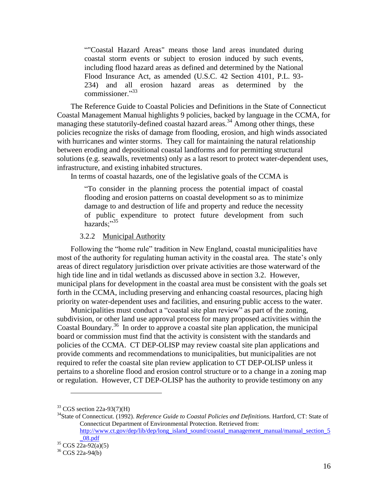―"Coastal Hazard Areas" means those land areas inundated during coastal storm events or subject to erosion induced by such events, including flood hazard areas as defined and determined by the National Flood Insurance Act, as amended (U.S.C. 42 Section 4101, P.L. 93- 234) and all erosion hazard areas as determined by the commissioner."<sup>33</sup>

The Reference Guide to Coastal Policies and Definitions in the State of Connecticut Coastal Management Manual highlights 9 policies, backed by language in the CCMA, for managing these statutorily-defined coastal hazard areas.<sup>34</sup> Among other things, these policies recognize the risks of damage from flooding, erosion, and high winds associated with hurricanes and winter storms. They call for maintaining the natural relationship between eroding and depositional coastal landforms and for permitting structural solutions (e.g. seawalls, revetments) only as a last resort to protect water-dependent uses, infrastructure, and existing inhabited structures.

In terms of coastal hazards, one of the legislative goals of the CCMA is

―To consider in the planning process the potential impact of coastal flooding and erosion patterns on coastal development so as to minimize damage to and destruction of life and property and reduce the necessity of public expenditure to protect future development from such hazards:"<sup>35</sup>

#### 3.2.2 Municipal Authority

<span id="page-15-0"></span>Following the "home rule" tradition in New England, coastal municipalities have most of the authority for regulating human activity in the coastal area. The state's only areas of direct regulatory jurisdiction over private activities are those waterward of the high tide line and in tidal wetlands as discussed above in section 3.2. However, municipal plans for development in the coastal area must be consistent with the goals set forth in the CCMA, including preserving and enhancing coastal resources, placing high priority on water-dependent uses and facilities, and ensuring public access to the water.

Municipalities must conduct a "coastal site plan review" as part of the zoning, subdivision, or other land use approval process for many proposed activities within the Coastal Boundary.<sup>36</sup> In order to approve a coastal site plan application, the municipal board or commission must find that the activity is consistent with the standards and policies of the CCMA. CT DEP-OLISP may review coastal site plan applications and provide comments and recommendations to municipalities, but municipalities are not required to refer the coastal site plan review application to CT DEP-OLISP unless it pertains to a shoreline flood and erosion control structure or to a change in a zoning map or regulation. However, CT DEP-OLISP has the authority to provide testimony on any

 $33$  CGS section 22a-93(7)(H)

<sup>34</sup>State of Connecticut. (1992). *Reference Guide to Coastal Policies and Definitions.* Hartford, CT: State of Connecticut Department of Environmental Protection. Retrieved from: [http://www.ct.gov/dep/lib/dep/long\\_island\\_sound/coastal\\_management\\_manual/manual\\_section\\_5](http://www.ct.gov/dep/lib/dep/long_island_sound/coastal_management_manual/manual_section_5_08.pdf)

[\\_08.pdf](http://www.ct.gov/dep/lib/dep/long_island_sound/coastal_management_manual/manual_section_5_08.pdf)

 $35 \text{ CGS } 22a-92(a)(5)$ 

<sup>36</sup> CGS 22a-94(b)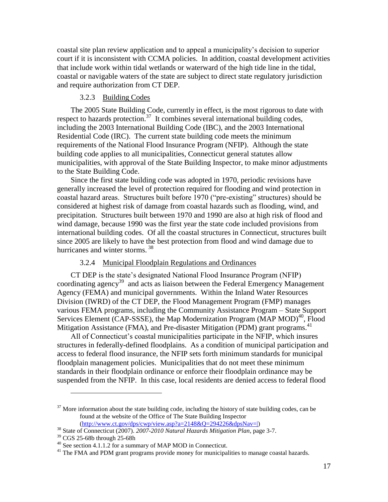coastal site plan review application and to appeal a municipality's decision to superior court if it is inconsistent with CCMA policies. In addition, coastal development activities that include work within tidal wetlands or waterward of the high tide line in the tidal, coastal or navigable waters of the state are subject to direct state regulatory jurisdiction and require authorization from CT DEP.

# 3.2.3 Building Codes

<span id="page-16-0"></span>The 2005 State Building Code, currently in effect, is the most rigorous to date with respect to hazards protection.<sup>37</sup> It combines several international building codes, including the 2003 International Building Code (IBC), and the 2003 International Residential Code (IRC). The current state building code meets the minimum requirements of the National Flood Insurance Program (NFIP). Although the state building code applies to all municipalities, Connecticut general statutes allow municipalities, with approval of the State Building Inspector, to make minor adjustments to the State Building Code.

Since the first state building code was adopted in 1970, periodic revisions have generally increased the level of protection required for flooding and wind protection in coastal hazard areas. Structures built before 1970 ("pre-existing" structures) should be considered at highest risk of damage from coastal hazards such as flooding, wind, and precipitation. Structures built between 1970 and 1990 are also at high risk of flood and wind damage, because 1990 was the first year the state code included provisions from international building codes. Of all the coastal structures in Connecticut, structures built since 2005 are likely to have the best protection from flood and wind damage due to hurricanes and winter storms.<sup>38</sup>

#### 3.2.4 Municipal Floodplain Regulations and Ordinances

<span id="page-16-1"></span>CT DEP is the state's designated National Flood Insurance Program (NFIP) coordinating agency<sup>39</sup> and acts as liaison between the Federal Emergency Management Agency (FEMA) and municipal governments. Within the Inland Water Resources Division (IWRD) of the CT DEP, the Flood Management Program (FMP) manages various FEMA programs, including the Community Assistance Program – State Support Services Element (CAP-SSSE), the Map Modernization Program (MAP MOD)<sup>40</sup>, Flood Mitigation Assistance (FMA), and Pre-disaster Mitigation (PDM) grant programs.<sup>41</sup>

All of Connecticut's coastal municipalities participate in the NFIP, which insures structures in federally-defined floodplains. As a condition of municipal participation and access to federal flood insurance, the NFIP sets forth minimum standards for municipal floodplain management policies. Municipalities that do not meet these minimum standards in their floodplain ordinance or enforce their floodplain ordinance may be suspended from the NFIP. In this case, local residents are denied access to federal flood

 $37$  More information about the state building code, including the history of state building codes, can be found at the website of the Office of The State Building Inspector  $(http://www.ct.gov/dps/cwp/view.asp?a=2148&O=294226&dpsNav=|)$ 

<sup>38</sup> State of Connecticut (2007). *2007-2010 Natural Hazards Mitigation Plan*, page 3-7.

<sup>39</sup> CGS 25-68b through 25-68h

 $40$  See section 4.1.1.2 for a summary of MAP MOD in Connecticut.

 $<sup>41</sup>$  The FMA and PDM grant programs provide money for municipalities to manage coastal hazards.</sup>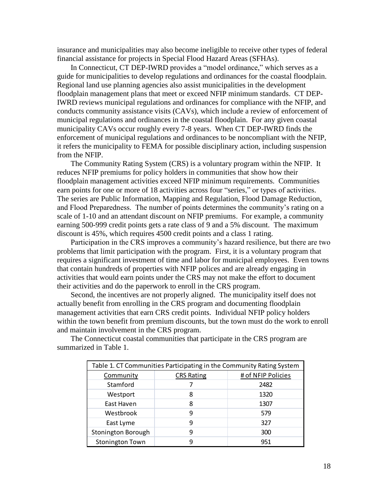insurance and municipalities may also become ineligible to receive other types of federal financial assistance for projects in Special Flood Hazard Areas (SFHAs).

In Connecticut, CT DEP-IWRD provides a "model ordinance," which serves as a guide for municipalities to develop regulations and ordinances for the coastal floodplain. Regional land use planning agencies also assist municipalities in the development floodplain management plans that meet or exceed NFIP minimum standards. CT DEP-IWRD reviews municipal regulations and ordinances for compliance with the NFIP, and conducts community assistance visits (CAVs), which include a review of enforcement of municipal regulations and ordinances in the coastal floodplain. For any given coastal municipality CAVs occur roughly every 7-8 years. When CT DEP-IWRD finds the enforcement of municipal regulations and ordinances to be noncompliant with the NFIP, it refers the municipality to FEMA for possible disciplinary action, including suspension from the NFIP.

The Community Rating System (CRS) is a voluntary program within the NFIP. It reduces NFIP premiums for policy holders in communities that show how their floodplain management activities exceed NFIP minimum requirements. Communities earn points for one or more of 18 activities across four "series," or types of activities. The series are Public Information, Mapping and Regulation, Flood Damage Reduction, and Flood Preparedness. The number of points determines the community's rating on a scale of 1-10 and an attendant discount on NFIP premiums. For example, a community earning 500-999 credit points gets a rate class of 9 and a 5% discount. The maximum discount is 45%, which requires 4500 credit points and a class 1 rating.

Participation in the CRS improves a community's hazard resilience, but there are two problems that limit participation with the program. First, it is a voluntary program that requires a significant investment of time and labor for municipal employees. Even towns that contain hundreds of properties with NFIP polices and are already engaging in activities that would earn points under the CRS may not make the effort to document their activities and do the paperwork to enroll in the CRS program.

Second, the incentives are not properly aligned. The municipality itself does not actually benefit from enrolling in the CRS program and documenting floodplain management activities that earn CRS credit points. Individual NFIP policy holders within the town benefit from premium discounts, but the town must do the work to enroll and maintain involvement in the CRS program.

| Table 1. CT Communities Participating in the Community Rating System |                   |                    |  |  |  |
|----------------------------------------------------------------------|-------------------|--------------------|--|--|--|
| Community                                                            | <b>CRS Rating</b> | # of NFIP Policies |  |  |  |
| Stamford                                                             |                   | 2482               |  |  |  |
| Westport                                                             | 8                 | 1320               |  |  |  |
| East Haven                                                           | 8                 | 1307               |  |  |  |
| Westbrook                                                            | 9                 | 579                |  |  |  |
| East Lyme                                                            | 9                 | 327                |  |  |  |
| Stonington Borough                                                   | 9                 | 300                |  |  |  |
| <b>Stonington Town</b>                                               | q                 | 951                |  |  |  |

The Connecticut coastal communities that participate in the CRS program are summarized in Table 1.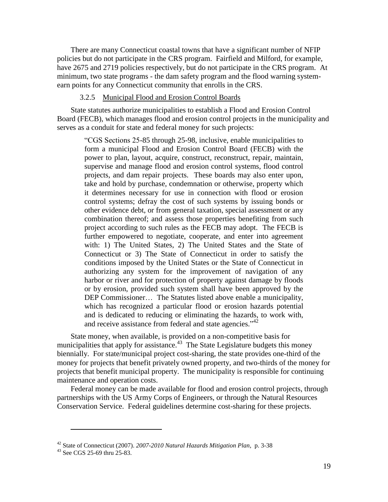There are many Connecticut coastal towns that have a significant number of NFIP policies but do not participate in the CRS program. Fairfield and Milford, for example, have 2675 and 2719 policies respectively, but do not participate in the CRS program. At minimum, two state programs - the dam safety program and the flood warning systemearn points for any Connecticut community that enrolls in the CRS.

# 3.2.5 Municipal Flood and Erosion Control Boards

<span id="page-18-0"></span>State statutes authorize municipalities to establish a Flood and Erosion Control Board (FECB), which manages flood and erosion control projects in the municipality and serves as a conduit for state and federal money for such projects:

―CGS Sections 25-85 through 25-98, inclusive, enable municipalities to form a municipal Flood and Erosion Control Board (FECB) with the power to plan, layout, acquire, construct, reconstruct, repair, maintain, supervise and manage flood and erosion control systems, flood control projects, and dam repair projects. These boards may also enter upon, take and hold by purchase, condemnation or otherwise, property which it determines necessary for use in connection with flood or erosion control systems; defray the cost of such systems by issuing bonds or other evidence debt, or from general taxation, special assessment or any combination thereof; and assess those properties benefiting from such project according to such rules as the FECB may adopt. The FECB is further empowered to negotiate, cooperate, and enter into agreement with: 1) The United States, 2) The United States and the State of Connecticut or 3) The State of Connecticut in order to satisfy the conditions imposed by the United States or the State of Connecticut in authorizing any system for the improvement of navigation of any harbor or river and for protection of property against damage by floods or by erosion, provided such system shall have been approved by the DEP Commissioner… The Statutes listed above enable a municipality, which has recognized a particular flood or erosion hazards potential and is dedicated to reducing or eliminating the hazards, to work with, and receive assistance from federal and state agencies."<sup>42</sup>

State money, when available, is provided on a non-competitive basis for municipalities that apply for assistance. $43$  The State Legislature budgets this money biennially. For state/municipal project cost-sharing, the state provides one-third of the money for projects that benefit privately owned property, and two-thirds of the money for projects that benefit municipal property. The municipality is responsible for continuing maintenance and operation costs.

Federal money can be made available for flood and erosion control projects, through partnerships with the US Army Corps of Engineers, or through the Natural Resources Conservation Service. Federal guidelines determine cost-sharing for these projects.

<sup>42</sup> State of Connecticut (2007). *2007-2010 Natural Hazards Mitigation Plan*, p. 3-38

<sup>43</sup> See CGS 25-69 thru 25-83.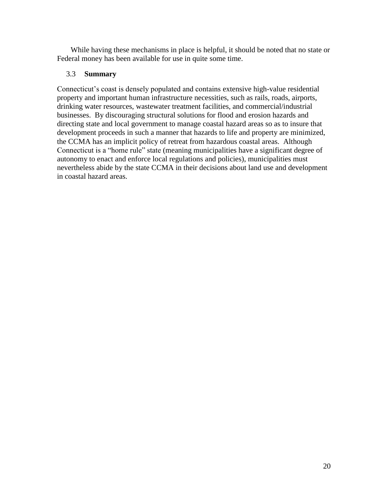While having these mechanisms in place is helpful, it should be noted that no state or Federal money has been available for use in quite some time.

# <span id="page-19-0"></span>3.3 **Summary**

Connecticut's coast is densely populated and contains extensive high-value residential property and important human infrastructure necessities, such as rails, roads, airports, drinking water resources, wastewater treatment facilities, and commercial/industrial businesses. By discouraging structural solutions for flood and erosion hazards and directing state and local government to manage coastal hazard areas so as to insure that development proceeds in such a manner that hazards to life and property are minimized, the CCMA has an implicit policy of retreat from hazardous coastal areas. Although Connecticut is a "home rule" state (meaning municipalities have a significant degree of autonomy to enact and enforce local regulations and policies), municipalities must nevertheless abide by the state CCMA in their decisions about land use and development in coastal hazard areas.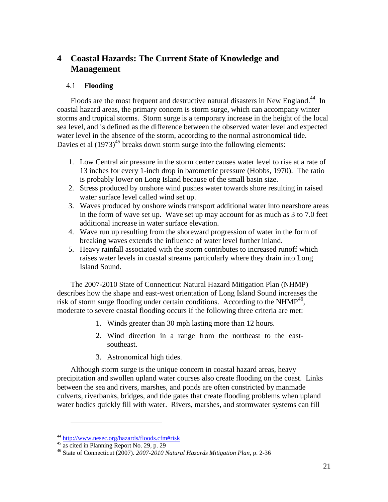# <span id="page-20-0"></span>**4 Coastal Hazards: The Current State of Knowledge and Management**

# <span id="page-20-1"></span>4.1 **Flooding**

Floods are the most frequent and destructive natural disasters in New England.<sup>44</sup> In coastal hazard areas, the primary concern is storm surge, which can accompany winter storms and tropical storms. Storm surge is a temporary increase in the height of the local sea level, and is defined as the difference between the observed water level and expected water level in the absence of the storm, according to the normal astronomical tide. Davies et al  $(1973)^{45}$  breaks down storm surge into the following elements:

- 1. Low Central air pressure in the storm center causes water level to rise at a rate of 13 inches for every 1-inch drop in barometric pressure (Hobbs, 1970). The ratio is probably lower on Long Island because of the small basin size.
- 2. Stress produced by onshore wind pushes water towards shore resulting in raised water surface level called wind set up.
- 3. Waves produced by onshore winds transport additional water into nearshore areas in the form of wave set up. Wave set up may account for as much as 3 to 7.0 feet additional increase in water surface elevation.
- 4. Wave run up resulting from the shoreward progression of water in the form of breaking waves extends the influence of water level further inland.
- 5. Heavy rainfall associated with the storm contributes to increased runoff which raises water levels in coastal streams particularly where they drain into Long Island Sound.

The 2007-2010 State of Connecticut Natural Hazard Mitigation Plan (NHMP) describes how the shape and east-west orientation of Long Island Sound increases the risk of storm surge flooding under certain conditions. According to the NHMP $^{46}$ , moderate to severe coastal flooding occurs if the following three criteria are met:

- 1. Winds greater than 30 mph lasting more than 12 hours.
- 2. Wind direction in a range from the northeast to the eastsoutheast.
- 3. Astronomical high tides.

Although storm surge is the unique concern in coastal hazard areas, heavy precipitation and swollen upland water courses also create flooding on the coast. Links between the sea and rivers, marshes, and ponds are often constricted by manmade culverts, riverbanks, bridges, and tide gates that create flooding problems when upland water bodies quickly fill with water. Rivers, marshes, and stormwater systems can fill

<sup>44</sup> [http://www.nesec.org/hazards/floods.cfm#risk](http://www.nesec.org/hazards/floods.cfm%23risk)

<sup>45</sup> as cited in Planning Report No. 29, p. 29

<sup>46</sup> State of Connecticut (2007). *2007-2010 Natural Hazards Mitigation Plan*, p. 2-36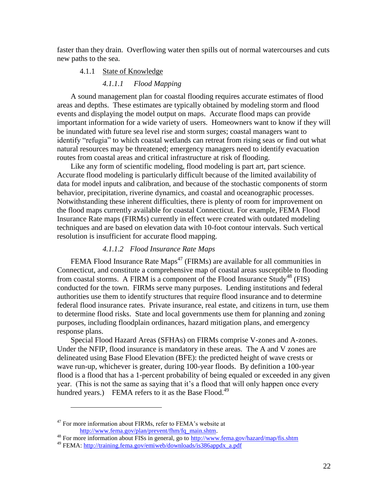<span id="page-21-0"></span>faster than they drain. Overflowing water then spills out of normal watercourses and cuts new paths to the sea.

#### 4.1.1 State of Knowledge

# *4.1.1.1 Flood Mapping*

A sound management plan for coastal flooding requires accurate estimates of flood areas and depths. These estimates are typically obtained by modeling storm and flood events and displaying the model output on maps. Accurate flood maps can provide important information for a wide variety of users. Homeowners want to know if they will be inundated with future sea level rise and storm surges; coastal managers want to identify "refugia" to which coastal wetlands can retreat from rising seas or find out what natural resources may be threatened; emergency managers need to identify evacuation routes from coastal areas and critical infrastructure at risk of flooding.

Like any form of scientific modeling, flood modeling is part art, part science. Accurate flood modeling is particularly difficult because of the limited availability of data for model inputs and calibration, and because of the stochastic components of storm behavior, precipitation, riverine dynamics, and coastal and oceanographic processes. Notwithstanding these inherent difficulties, there is plenty of room for improvement on the flood maps currently available for coastal Connecticut. For example, FEMA Flood Insurance Rate maps (FIRMs) currently in effect were created with outdated modeling techniques and are based on elevation data with 10-foot contour intervals. Such vertical resolution is insufficient for accurate flood mapping.

# *4.1.1.2 Flood Insurance Rate Maps*

FEMA Flood Insurance Rate Maps<sup>47</sup> (FIRMs) are available for all communities in Connecticut, and constitute a comprehensive map of coastal areas susceptible to flooding from coastal storms. A FIRM is a component of the Flood Insurance Study<sup>48</sup> (FIS) conducted for the town. FIRMs serve many purposes. Lending institutions and federal authorities use them to identify structures that require flood insurance and to determine federal flood insurance rates. Private insurance, real estate, and citizens in turn, use them to determine flood risks. State and local governments use them for planning and zoning purposes, including floodplain ordinances, hazard mitigation plans, and emergency response plans.

Special Flood Hazard Areas (SFHAs) on FIRMs comprise V-zones and A-zones. Under the NFIP, flood insurance is mandatory in these areas. The A and V zones are delineated using Base Flood Elevation (BFE): the predicted height of wave crests or wave run-up, whichever is greater, during 100-year floods. By definition a 100-year flood is a flood that has a 1-percent probability of being equaled or exceeded in any given year. (This is not the same as saying that it's a flood that will only happen once every hundred years.) FEMA refers to it as the Base Flood.<sup>49</sup>

 $47$  For more information about FIRMs, refer to FEMA's website at [http://www.fema.gov/plan/prevent/fhm/fq\\_main.shtm.](http://www.fema.gov/plan/prevent/fhm/fq_main.shtm)

<sup>48</sup> For more information about FISs in general, go to<http://www.fema.gov/hazard/map/fis.shtm>

<sup>49</sup> FEMA: [http://training.fema.gov/emiweb/downloads/is386appdx\\_a.pdf](http://training.fema.gov/emiweb/downloads/is386appdx_a.pdf)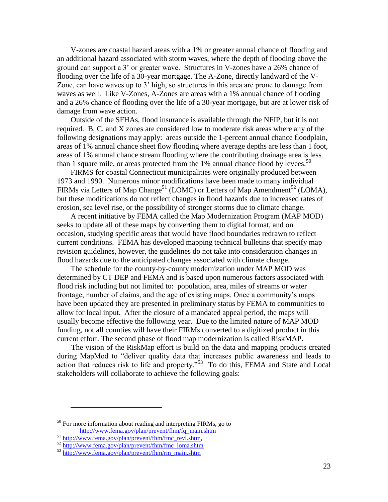V-zones are coastal hazard areas with a 1% or greater annual chance of flooding and an additional hazard associated with storm waves, where the depth of flooding above the ground can support a 3' or greater wave. Structures in V-zones have a 26% chance of flooding over the life of a 30-year mortgage. The A-Zone, directly landward of the V-Zone, can have waves up to 3' high, so structures in this area are prone to damage from waves as well. Like V-Zones, A-Zones are areas with a 1% annual chance of flooding and a 26% chance of flooding over the life of a 30-year mortgage, but are at lower risk of damage from wave action.

Outside of the SFHAs, flood insurance is available through the NFIP, but it is not required. B, C, and X zones are considered low to moderate risk areas where any of the following designations may apply: areas outside the 1-percent annual chance floodplain, areas of 1% annual chance sheet flow flooding where average depths are less than 1 foot, areas of 1% annual chance stream flooding where the contributing drainage area is less than 1 square mile, or areas protected from the  $1\%$  annual chance flood by levees.<sup>50</sup>

FIRMS for coastal Connecticut municipalities were originally produced between 1973 and 1990. Numerous minor modifications have been made to many individual FIRMs via Letters of Map Change<sup>51</sup> (LOMC) or Letters of Map Amendment<sup>52</sup> (LOMA), but these modifications do not reflect changes in flood hazards due to increased rates of erosion, sea level rise, or the possibility of stronger storms due to climate change.

A recent initiative by FEMA called the Map Modernization Program (MAP MOD) seeks to update all of these maps by converting them to digital format, and on occasion, studying specific areas that would have flood boundaries redrawn to reflect current conditions. FEMA has developed mapping technical bulletins that specify map revision guidelines, however, the guidelines do not take into consideration changes in flood hazards due to the anticipated changes associated with climate change.

The schedule for the county-by-county modernization under MAP MOD was determined by CT DEP and FEMA and is based upon numerous factors associated with flood risk including but not limited to: population, area, miles of streams or water frontage, number of claims, and the age of existing maps. Once a community's maps have been updated they are presented in preliminary status by FEMA to communities to allow for local input. After the closure of a mandated appeal period, the maps will usually become effective the following year. Due to the limited nature of MAP MOD funding, not all counties will have their FIRMs converted to a digitized product in this current effort. The second phase of flood map modernization is called RiskMAP.

The vision of the RiskMap effort is build on the data and mapping products created during MapMod to "deliver quality data that increases public awareness and leads to action that reduces risk to life and property."<sup>53</sup> To do this, FEMA and State and Local stakeholders will collaborate to achieve the following goals:

 $50$  For more information about reading and interpreting FIRMs, go to

[http://www.fema.gov/plan/prevent/fhm/fq\\_main.shtm](http://www.fema.gov/plan/prevent/fhm/fq_main.shtm)

<sup>51</sup> [http://www.fema.gov/plan/prevent/fhm/fmc\\_revl.shtm,](http://www.fema.gov/plan/prevent/fhm/fmc_revl.shtm)

 $52 \frac{\text{http://www.fema.gov/plan/prevent/fhm/fmc loma.shtm}}{http://www.fema.gov/plan/prevent/fhm/fmc$  loma.shtm

<sup>53</sup> [http://www.fema.gov/plan/prevent/fhm/rm\\_main.shtm](http://www.fema.gov/plan/prevent/fhm/rm_main.shtm)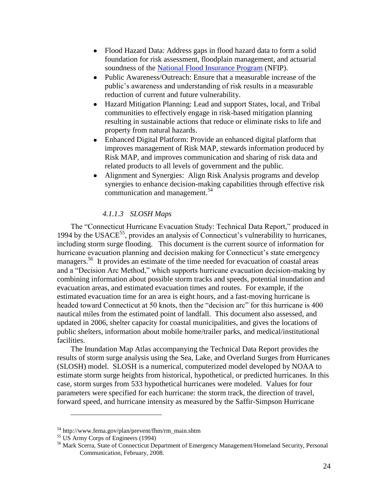- Flood Hazard Data: Address gaps in flood hazard data to form a solid foundation for risk assessment, floodplain management, and actuarial soundness of the [National Flood Insurance Program](http://www.fema.gov/about/programs/nfip/index.shtm) (NFIP).
- Public Awareness/Outreach: Ensure that a measurable increase of the public's awareness and understanding of risk results in a measurable reduction of current and future vulnerability.
- Hazard Mitigation Planning: Lead and support States, local, and Tribal communities to effectively engage in risk-based mitigation planning resulting in sustainable actions that reduce or eliminate risks to life and property from natural hazards.
- Enhanced Digital Platform: Provide an enhanced digital platform that improves management of Risk MAP, stewards information produced by Risk MAP, and improves communication and sharing of risk data and related products to all levels of government and the public.
- Alignment and Synergies: Align Risk Analysis programs and develop  $\bullet$ synergies to enhance decision-making capabilities through effective risk communication and management.<sup>54</sup>

# *4.1.1.3 SLOSH Maps*

The "Connecticut Hurricane Evacuation Study: Technical Data Report," produced in 1994 by the USACE<sup>55</sup>, provides an analysis of Connecticut's vulnerability to hurricanes, including storm surge flooding. This document is the current source of information for hurricane evacuation planning and decision making for Connecticut's state emergency managers.<sup>56</sup> It provides an estimate of the time needed for evacuation of coastal areas and a "Decision Arc Method," which supports hurricane evacuation decision-making by combining information about possible storm tracks and speeds, potential inundation and evacuation areas, and estimated evacuation times and routes. For example, if the estimated evacuation time for an area is eight hours, and a fast-moving hurricane is headed toward Connecticut at 50 knots, then the "decision arc" for this hurricane is 400 nautical miles from the estimated point of landfall. This document also assessed, and updated in 2006, shelter capacity for coastal municipalities, and gives the locations of public shelters, information about mobile home/trailer parks, and medical/institutional facilities.

The Inundation Map Atlas accompanying the Technical Data Report provides the results of storm surge analysis using the Sea, Lake, and Overland Surges from Hurricanes (SLOSH) model. SLOSH is a numerical, computerized model developed by NOAA to estimate storm surge heights from historical, hypothetical, or predicted hurricanes. In this case, storm surges from 533 hypothetical hurricanes were modeled. Values for four parameters were specified for each hurricane: the storm track, the direction of travel, forward speed, and hurricane intensity as measured by the Saffir-Simpson Hurricane

<sup>54</sup> http://www.fema.gov/plan/prevent/fhm/rm\_main.shtm

<sup>55</sup> US Army Corps of Engineers (1994)

<sup>56</sup> Mark Scerra, State of Connecticut Department of Emergency Management/Homeland Security, Personal Communication, February, 2008.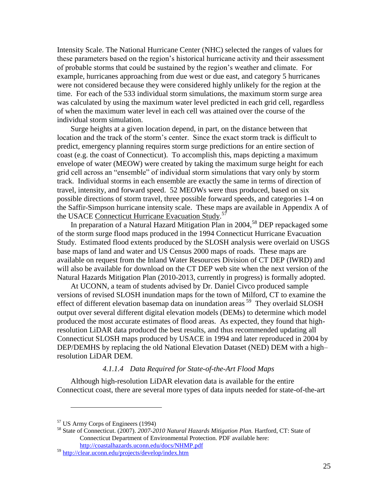Intensity Scale. The National Hurricane Center (NHC) selected the ranges of values for these parameters based on the region's historical hurricane activity and their assessment of probable storms that could be sustained by the region's weather and climate. For example, hurricanes approaching from due west or due east, and category 5 hurricanes were not considered because they were considered highly unlikely for the region at the time. For each of the 533 individual storm simulations, the maximum storm surge area was calculated by using the maximum water level predicted in each grid cell, regardless of when the maximum water level in each cell was attained over the course of the individual storm simulation.

Surge heights at a given location depend, in part, on the distance between that location and the track of the storm's center. Since the exact storm track is difficult to predict, emergency planning requires storm surge predictions for an entire section of coast (e.g. the coast of Connecticut). To accomplish this, maps depicting a maximum envelope of water (MEOW) were created by taking the maximum surge height for each grid cell across an "ensemble" of individual storm simulations that vary only by storm track. Individual storms in each ensemble are exactly the same in terms of direction of travel, intensity, and forward speed. 52 MEOWs were thus produced, based on six possible directions of storm travel, three possible forward speeds, and categories 1-4 on the Saffir-Simpson hurricane intensity scale. These maps are available in Appendix A of the USACE Connecticut Hurricane Evacuation Study.<sup>57</sup>

In preparation of a Natural Hazard Mitigation Plan in 2004,<sup>58</sup> DEP repackaged some of the storm surge flood maps produced in the 1994 Connecticut Hurricane Evacuation Study. Estimated flood extents produced by the SLOSH analysis were overlaid on USGS base maps of land and water and US Census 2000 maps of roads. These maps are available on request from the Inland Water Resources Division of CT DEP (IWRD) and will also be available for download on the CT DEP web site when the next version of the Natural Hazards Mitigation Plan (2010-2013, currently in progress) is formally adopted.

At UCONN, a team of students advised by Dr. Daniel Civco produced sample versions of revised SLOSH inundation maps for the town of Milford, CT to examine the effect of different elevation basemap data on inundation areas<sup>59</sup> They overlaid SLOSH output over several different digital elevation models (DEMs) to determine which model produced the most accurate estimates of flood areas. As expected, they found that highresolution LiDAR data produced the best results, and thus recommended updating all Connecticut SLOSH maps produced by USACE in 1994 and later reproduced in 2004 by DEP/DEMHS by replacing the old National Elevation Dataset (NED) DEM with a high– resolution LiDAR DEM.

#### *4.1.1.4 Data Required for State-of-the-Art Flood Maps*

Although high-resolution LiDAR elevation data is available for the entire Connecticut coast, there are several more types of data inputs needed for state-of-the-art

<sup>57</sup> US Army Corps of Engineers (1994)

<sup>58</sup> State of Connecticut. (2007). *2007-2010 Natural Hazards Mitigation Plan.* Hartford, CT: State of Connecticut Department of Environmental Protection. PDF available here: <http://coastalhazards.uconn.edu/docs/NHMP.pdf>

<sup>59</sup> <http://clear.uconn.edu/projects/develop/index.htm>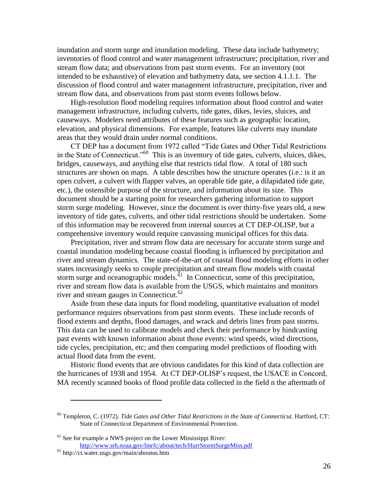inundation and storm surge and inundation modeling. These data include bathymetry; inventories of flood control and water management infrastructure; precipitation, river and stream flow data; and observations from past storm events. For an inventory (not intended to be exhaustive) of elevation and bathymetry data, see section 4.1.1.1. The discussion of flood control and water management infrastructure, precipitation, river and stream flow data, and observations from past storm events follows below.

High-resolution flood modeling requires information about flood control and water management infrastructure, including culverts, tide gates, dikes, levies, sluices, and causeways. Modelers need attributes of these features such as geographic location, elevation, and physical dimensions. For example, features like culverts may inundate areas that they would drain under normal conditions.

CT DEP has a document from 1972 called "Tide Gates and Other Tidal Restrictions in the State of Connecticut."<sup>60</sup> This is an inventory of tide gates, culverts, sluices, dikes, bridges, causeways, and anything else that restricts tidal flow. A total of 180 such structures are shown on maps. A table describes how the structure operates (i.e.: is it an open culvert, a culvert with flapper valves, an operable tide gate, a dilapidated tide gate, etc.), the ostensible purpose of the structure, and information about its size. This document should be a starting point for researchers gathering information to support storm surge modeling. However, since the document is over thirty-five years old, a new inventory of tide gates, culverts, and other tidal restrictions should be undertaken. Some of this information may be recovered from internal sources at CT DEP-OLISP, but a comprehensive inventory would require canvassing municipal offices for this data.

Precipitation, river and stream flow data are necessary for accurate storm surge and coastal inundation modeling because coastal flooding is influenced by precipitation and river and stream dynamics. The state-of-the-art of coastal flood modeling efforts in other states increasingly seeks to couple precipitation and stream flow models with coastal storm surge and oceanographic models. $\delta$ <sup>1</sup> In Connecticut, some of this precipitation, river and stream flow data is available from the USGS, which maintains and monitors river and stream gauges in Connecticut. $62$ 

Aside from these data inputs for flood modeling, quantitative evaluation of model performance requires observations from past storm events. These include records of flood extents and depths, flood damages, and wrack and debris lines from past storms. This data can be used to calibrate models and check their performance by hindcasting past events with known information about those events: wind speeds, wind directions, tide cycles, precipitation, etc; and then comparing model predictions of flooding with actual flood data from the event.

Historic flood events that are obvious candidates for this kind of data collection are the hurricanes of 1938 and 1954. At CT DEP-OLISP's request, the USACE in Concord, MA recently scanned books of flood profile data collected in the field n the aftermath of

<sup>60</sup> Templeton, C. (1972). *Tide Gates and Other Tidal Restrictions in the State of Connecticut.* Hartford, CT: State of Connecticut Department of Environmental Protection.

 $<sup>61</sup>$  See for example a NWS project on the Lower Mississippi River:</sup> <http://www.srh.noaa.gov/lmrfc/about/tech/HurrStormSurgeMiss.pdf>

 $62$  http://ct.water.usgs.gov/main/aboutus.htm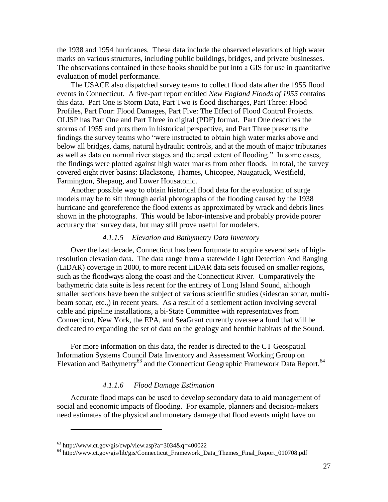the 1938 and 1954 hurricanes. These data include the observed elevations of high water marks on various structures, including public buildings, bridges, and private businesses. The observations contained in these books should be put into a GIS for use in quantitative evaluation of model performance.

The USACE also dispatched survey teams to collect flood data after the 1955 flood events in Connecticut. A five-part report entitled *New England Floods of 1955* contains this data. Part One is Storm Data, Part Two is flood discharges, Part Three: Flood Profiles, Part Four: Flood Damages, Part Five: The Effect of Flood Control Projects. OLISP has Part One and Part Three in digital (PDF) format. Part One describes the storms of 1955 and puts them in historical perspective, and Part Three presents the findings the survey teams who "were instructed to obtain high water marks above and below all bridges, dams, natural hydraulic controls, and at the mouth of major tributaries as well as data on normal river stages and the areal extent of flooding." In some cases, the findings were plotted against high water marks from other floods. In total, the survey covered eight river basins: Blackstone, Thames, Chicopee, Naugatuck, Westfield, Farmington, Shepaug, and Lower Housatonic.

Another possible way to obtain historical flood data for the evaluation of surge models may be to sift through aerial photographs of the flooding caused by the 1938 hurricane and georeference the flood extents as approximated by wrack and debris lines shown in the photographs. This would be labor-intensive and probably provide poorer accuracy than survey data, but may still prove useful for modelers.

#### *4.1.1.5 Elevation and Bathymetry Data Inventory*

Over the last decade, Connecticut has been fortunate to acquire several sets of highresolution elevation data. The data range from a statewide Light Detection And Ranging (LiDAR) coverage in 2000, to more recent LiDAR data sets focused on smaller regions, such as the floodways along the coast and the Connecticut River. Comparatively the bathymetric data suite is less recent for the entirety of Long Island Sound, although smaller sections have been the subject of various scientific studies (sidescan sonar, multibeam sonar, etc.,) in recent years. As a result of a settlement action involving several cable and pipeline installations, a bi-State Committee with representatives from Connecticut, New York, the EPA, and SeaGrant currently oversee a fund that will be dedicated to expanding the set of data on the geology and benthic habitats of the Sound.

For more information on this data, the reader is directed to the CT Geospatial Information Systems Council Data Inventory and Assessment Working Group on Elevation and Bathymetry<sup>63</sup> and the Connecticut Geographic Framework Data Report.<sup>64</sup>

#### *4.1.1.6 Flood Damage Estimation*

Accurate flood maps can be used to develop secondary data to aid management of social and economic impacts of flooding. For example, planners and decision-makers need estimates of the physical and monetary damage that flood events might have on

 $63$  http://www.ct.gov/gis/cwp/view.asp?a=3034&q=400022

<sup>64</sup> http://www.ct.gov/gis/lib/gis/Connecticut\_Framework\_Data\_Themes\_Final\_Report\_010708.pdf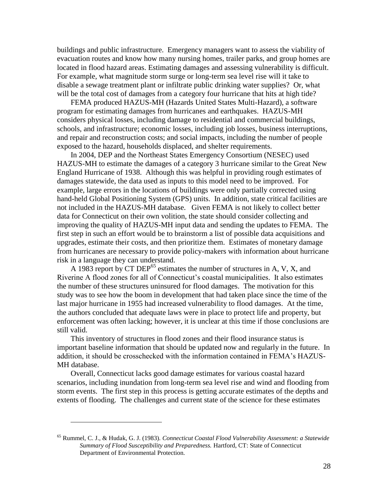buildings and public infrastructure. Emergency managers want to assess the viability of evacuation routes and know how many nursing homes, trailer parks, and group homes are located in flood hazard areas. Estimating damages and assessing vulnerability is difficult. For example, what magnitude storm surge or long-term sea level rise will it take to disable a sewage treatment plant or infiltrate public drinking water supplies? Or, what will be the total cost of damages from a category four hurricane that hits at high tide?

FEMA produced HAZUS-MH (Hazards United States Multi-Hazard), a software program for estimating damages from hurricanes and earthquakes. HAZUS-MH considers physical losses, including damage to residential and commercial buildings, schools, and infrastructure; economic losses, including job losses, business interruptions, and repair and reconstruction costs; and social impacts, including the number of people exposed to the hazard, households displaced, and shelter requirements.

In 2004, DEP and the Northeast States Emergency Consortium (NESEC) used HAZUS-MH to estimate the damages of a category 3 hurricane similar to the Great New England Hurricane of 1938. Although this was helpful in providing rough estimates of damages statewide, the data used as inputs to this model need to be improved. For example, large errors in the locations of buildings were only partially corrected using hand-held Global Positioning System (GPS) units. In addition, state critical facilities are not included in the HAZUS-MH database. Given FEMA is not likely to collect better data for Connecticut on their own volition, the state should consider collecting and improving the quality of HAZUS-MH input data and sending the updates to FEMA. The first step in such an effort would be to brainstorm a list of possible data acquisitions and upgrades, estimate their costs, and then prioritize them. Estimates of monetary damage from hurricanes are necessary to provide policy-makers with information about hurricane risk in a language they can understand.

A 1983 report by CT DEP<sup>65</sup> estimates the number of structures in A, V, X, and Riverine A flood zones for all of Connecticut's coastal municipalities. It also estimates the number of these structures uninsured for flood damages. The motivation for this study was to see how the boom in development that had taken place since the time of the last major hurricane in 1955 had increased vulnerability to flood damages. At the time, the authors concluded that adequate laws were in place to protect life and property, but enforcement was often lacking; however, it is unclear at this time if those conclusions are still valid.

This inventory of structures in flood zones and their flood insurance status is important baseline information that should be updated now and regularly in the future. In addition, it should be crosschecked with the information contained in FEMA's HAZUS-MH database.

Overall, Connecticut lacks good damage estimates for various coastal hazard scenarios, including inundation from long-term sea level rise and wind and flooding from storm events. The first step in this process is getting accurate estimates of the depths and extents of flooding. The challenges and current state of the science for these estimates

<sup>65</sup> Rummel, C. J., & Hudak, G. J. (1983). *Connecticut Coastal Flood Vulnerability Assessment: a Statewide Summary of Flood Susceptibility and Preparedness.* Hartford, CT: State of Connecticut Department of Environmental Protection.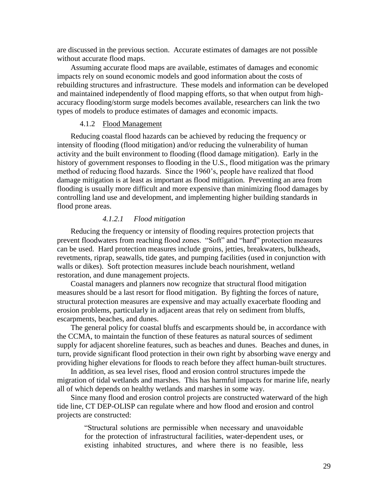are discussed in the previous section. Accurate estimates of damages are not possible without accurate flood maps.

Assuming accurate flood maps are available, estimates of damages and economic impacts rely on sound economic models and good information about the costs of rebuilding structures and infrastructure. These models and information can be developed and maintained independently of flood mapping efforts, so that when output from highaccuracy flooding/storm surge models becomes available, researchers can link the two types of models to produce estimates of damages and economic impacts.

#### 4.1.2 Flood Management

<span id="page-28-0"></span>Reducing coastal flood hazards can be achieved by reducing the frequency or intensity of flooding (flood mitigation) and/or reducing the vulnerability of human activity and the built environment to flooding (flood damage mitigation). Early in the history of government responses to flooding in the U.S., flood mitigation was the primary method of reducing flood hazards. Since the 1960's, people have realized that flood damage mitigation is at least as important as flood mitigation. Preventing an area from flooding is usually more difficult and more expensive than minimizing flood damages by controlling land use and development, and implementing higher building standards in flood prone areas.

#### *4.1.2.1 Flood mitigation*

Reducing the frequency or intensity of flooding requires protection projects that prevent floodwaters from reaching flood zones. "Soft" and "hard" protection measures can be used. Hard protection measures include groins, jetties, breakwaters, bulkheads, revetments, riprap, seawalls, tide gates, and pumping facilities (used in conjunction with walls or dikes). Soft protection measures include beach nourishment, wetland restoration, and dune management projects.

Coastal managers and planners now recognize that structural flood mitigation measures should be a last resort for flood mitigation. By fighting the forces of nature, structural protection measures are expensive and may actually exacerbate flooding and erosion problems, particularly in adjacent areas that rely on sediment from bluffs, escarpments, beaches, and dunes.

The general policy for coastal bluffs and escarpments should be, in accordance with the CCMA, to maintain the function of these features as natural sources of sediment supply for adjacent shoreline features, such as beaches and dunes. Beaches and dunes, in turn, provide significant flood protection in their own right by absorbing wave energy and providing higher elevations for floods to reach before they affect human-built structures.

In addition, as sea level rises, flood and erosion control structures impede the migration of tidal wetlands and marshes. This has harmful impacts for marine life, nearly all of which depends on healthy wetlands and marshes in some way.

Since many flood and erosion control projects are constructed waterward of the high tide line, CT DEP-OLISP can regulate where and how flood and erosion and control projects are constructed:

> ―Structural solutions are permissible when necessary and unavoidable for the protection of infrastructural facilities, water-dependent uses, or existing inhabited structures, and where there is no feasible, less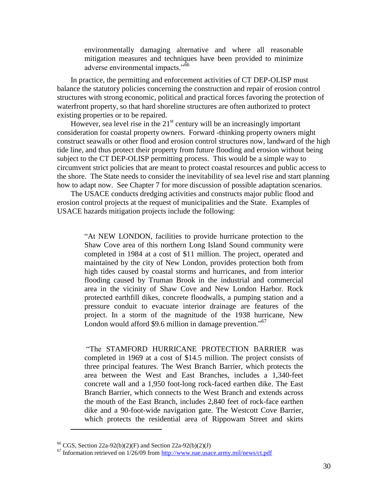environmentally damaging alternative and where all reasonable mitigation measures and techniques have been provided to minimize adverse environmental impacts."<sup>66</sup>

In practice, the permitting and enforcement activities of CT DEP-OLISP must balance the statutory policies concerning the construction and repair of erosion control structures with strong economic, political and practical forces favoring the protection of waterfront property, so that hard shoreline structures are often authorized to protect existing properties or to be repaired.

However, sea level rise in the  $21<sup>st</sup>$  century will be an increasingly important consideration for coastal property owners. Forward -thinking property owners might construct seawalls or other flood and erosion control structures now, landward of the high tide line, and thus protect their property from future flooding and erosion without being subject to the CT DEP-OLISP permitting process. This would be a simple way to circumvent strict policies that are meant to protect coastal resources and public access to the shore. The State needs to consider the inevitability of sea level rise and start planning how to adapt now. See Chapter 7 for more discussion of possible adaptation scenarios.

The USACE conducts dredging activities and constructs major public flood and erosion control projects at the request of municipalities and the State. Examples of USACE hazards mitigation projects include the following:

> "At NEW LONDON, facilities to provide hurricane protection to the Shaw Cove area of this northern Long Island Sound community were completed in 1984 at a cost of \$11 million. The project, operated and maintained by the city of New London, provides protection both from high tides caused by coastal storms and hurricanes, and from interior flooding caused by Truman Brook in the industrial and commercial area in the vicinity of Shaw Cove and New London Harbor. Rock protected earthfill dikes, concrete floodwalls, a pumping station and a pressure conduit to evacuate interior drainage are features of the project. In a storm of the magnitude of the 1938 hurricane, New London would afford \$9.6 million in damage prevention."<sup>67</sup>

> ―The STAMFORD HURRICANE PROTECTION BARRIER was completed in 1969 at a cost of \$14.5 million. The project consists of three principal features. The West Branch Barrier, which protects the area between the West and East Branches, includes a 1,340-feet concrete wall and a 1,950 foot-long rock-faced earthen dike. The East Branch Barrier, which connects to the West Branch and extends across the mouth of the East Branch, includes 2,840 feet of rock-face earthen dike and a 90-foot-wide navigation gate. The Westcott Cove Barrier, which protects the residential area of Rippowam Street and skirts

<sup>&</sup>lt;sup>66</sup> CGS, Section 22a-92(b)(2)(F) and Section 22a-92(b)(2)(J)

 $^{67}$  Information retrieved on 1/26/09 from<http://www.nae.usace.army.mil/news/ct.pdf>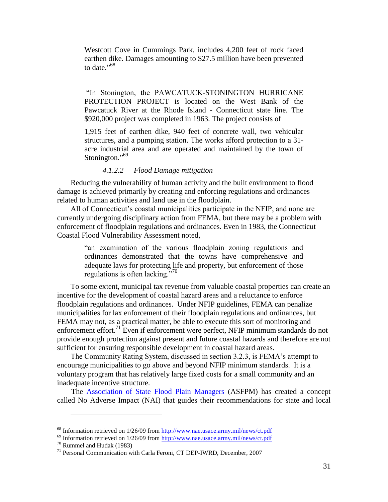Westcott Cove in Cummings Park, includes 4,200 feet of rock faced earthen dike. Damages amounting to \$27.5 million have been prevented to date."<sup>68</sup>

"In Stonington, the PAWCATUCK-STONINGTON HURRICANE PROTECTION PROJECT is located on the West Bank of the Pawcatuck River at the Rhode Island - Connecticut state line. The \$920,000 project was completed in 1963. The project consists of

1,915 feet of earthen dike, 940 feet of concrete wall, two vehicular structures, and a pumping station. The works afford protection to a 31 acre industrial area and are operated and maintained by the town of Stonington."<sup>69</sup>

#### *4.1.2.2 Flood Damage mitigation*

Reducing the vulnerability of human activity and the built environment to flood damage is achieved primarily by creating and enforcing regulations and ordinances related to human activities and land use in the floodplain.

All of Connecticut's coastal municipalities participate in the NFIP, and none are currently undergoing disciplinary action from FEMA, but there may be a problem with enforcement of floodplain regulations and ordinances. Even in 1983, the Connecticut Coastal Flood Vulnerability Assessment noted,

> "an examination of the various floodplain zoning regulations and ordinances demonstrated that the towns have comprehensive and adequate laws for protecting life and property, but enforcement of those regulations is often lacking."<sup>70</sup>

To some extent, municipal tax revenue from valuable coastal properties can create an incentive for the development of coastal hazard areas and a reluctance to enforce floodplain regulations and ordinances. Under NFIP guidelines, FEMA can penalize municipalities for lax enforcement of their floodplain regulations and ordinances, but FEMA may not, as a practical matter, be able to execute this sort of monitoring and enforcement effort.<sup>71</sup> Even if enforcement were perfect, NFIP minimum standards do not provide enough protection against present and future coastal hazards and therefore are not sufficient for ensuring responsible development in coastal hazard areas.

The Community Rating System, discussed in section 3.2.3, is FEMA's attempt to encourage municipalities to go above and beyond NFIP minimum standards. It is a voluntary program that has relatively large fixed costs for a small community and an inadequate incentive structure.

The [Association of State Flood Plain Managers](http://www.floods.org/) (ASFPM) has created a concept called No Adverse Impact (NAI) that guides their recommendations for state and local

<sup>&</sup>lt;sup>68</sup> Information retrieved on 1/26/09 from<http://www.nae.usace.army.mil/news/ct.pdf>

 $^{69}$  Information retrieved on 1/26/09 from<http://www.nae.usace.army.mil/news/ct.pdf>

<sup>70</sup> Rummel and Hudak (1983)

<sup>&</sup>lt;sup>71</sup> Personal Communication with Carla Feroni, CT DEP-IWRD, December, 2007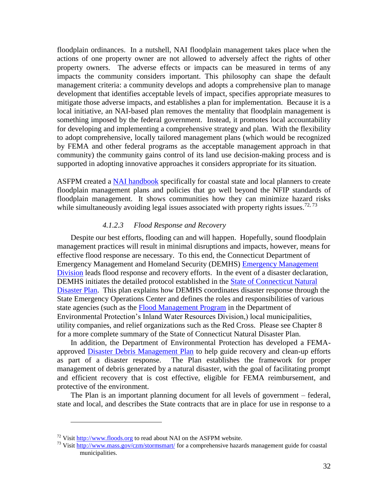floodplain ordinances. In a nutshell, NAI floodplain management takes place when the actions of one property owner are not allowed to adversely affect the rights of other property owners. The adverse effects or impacts can be measured in terms of any impacts the community considers important. This philosophy can shape the default management criteria: a community develops and adopts a comprehensive plan to manage development that identifies acceptable levels of impact, specifies appropriate measures to mitigate those adverse impacts, and establishes a plan for implementation. Because it is a local initiative, an NAI-based plan removes the mentality that floodplain management is something imposed by the federal government. Instead, it promotes local accountability for developing and implementing a comprehensive strategy and plan. With the flexibility to adopt comprehensive, locally tailored management plans (which would be recognized by FEMA and other federal programs as the acceptable management approach in that community) the community gains control of its land use decision-making process and is supported in adopting innovative approaches it considers appropriate for its situation.

ASFPM created a [NAI handbook](http://www.floods.org/NoAdverseImpact/coastal.asp) specifically for coastal state and local planners to create floodplain management plans and policies that go well beyond the NFIP standards of floodplain management. It shows communities how they can minimize hazard risks while simultaneously avoiding legal issues associated with property rights issues.<sup>72,73</sup>

#### *4.1.2.3 Flood Response and Recovery*

Despite our best efforts, flooding can and will happen. Hopefully, sound floodplain management practices will result in minimal disruptions and impacts, however, means for effective flood response are necessary. To this end, the Connecticut Department of Emergency Management and Homeland Security (DEMHS) [Emergency Management](http://www.ct.gov/demhs/cwp/view.asp?a=1939&q=443360&demhsNav=|42956|)  [Division](http://www.ct.gov/demhs/cwp/view.asp?a=1939&q=443360&demhsNav=|42956|) leads flood response and recovery efforts. In the event of a disaster declaration, DEMHS initiates the detailed protocol established in the [State of Connecticut Natural](http://www.ct.gov/demhs/lib/demhs/emergmgmt/planningguides/2009_natural_disaster_plan.pdf)  [Disaster Plan.](http://www.ct.gov/demhs/lib/demhs/emergmgmt/planningguides/2009_natural_disaster_plan.pdf) This plan explains how DEMHS coordinates disaster response through the State Emergency Operations Center and defines the roles and responsibilities of various state agencies (such as the [Flood Management Program](http://ct.gov/dep/cwp/view.asp?a=2720&q=325648&depNav_GID=1654) in the Department of Environmental Protection's Inland Water Resources Division,) local municipalities, utility companies, and relief organizations such as the Red Cross. Please see Chapter 8 for a more complete summary of the State of Connecticut Natural Disaster Plan.

In addition, the Department of Environmental Protection has developed a FEMAapproved **Disaster Debris Management Plan** to help guide recovery and clean-up efforts as part of a disaster response. The Plan establishes the framework for proper management of debris generated by a natural disaster, with the goal of facilitating prompt and efficient recovery that is cost effective, eligible for FEMA reimbursement, and protective of the environment.

The Plan is an important planning document for all levels of government – federal, state and local, and describes the State contracts that are in place for use in response to a

<sup>&</sup>lt;sup>72</sup> Visit [http://www.floods.org](http://www.floods.org/) to read about NAI on the ASFPM website.

<sup>73</sup> Visit<http://www.mass.gov/czm/stormsmart/> for a comprehensive hazards management guide for coastal municipalities.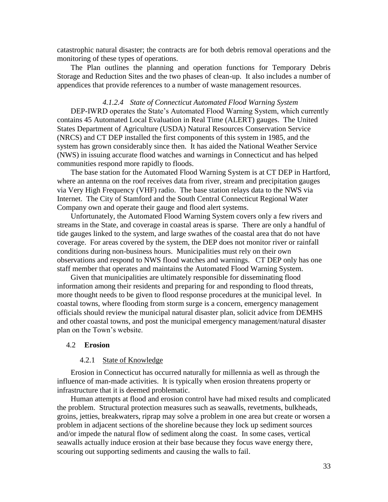catastrophic natural disaster; the contracts are for both debris removal operations and the monitoring of these types of operations.

The Plan outlines the planning and operation functions for Temporary Debris Storage and Reduction Sites and the two phases of clean-up. It also includes a number of appendices that provide references to a number of waste management resources.

#### *4.1.2.4 State of Connecticut Automated Flood Warning System*

DEP-IWRD operates the State's Automated Flood Warning System, which currently contains 45 Automated Local Evaluation in Real Time (ALERT) gauges. The United States Department of Agriculture (USDA) Natural Resources Conservation Service (NRCS) and CT DEP installed the first components of this system in 1985, and the system has grown considerably since then. It has aided the National Weather Service (NWS) in issuing accurate flood watches and warnings in Connecticut and has helped communities respond more rapidly to floods.

The base station for the Automated Flood Warning System is at CT DEP in Hartford, where an antenna on the roof receives data from river, stream and precipitation gauges via Very High Frequency (VHF) radio. The base station relays data to the NWS via Internet. The City of Stamford and the South Central Connecticut Regional Water Company own and operate their gauge and flood alert systems.

Unfortunately, the Automated Flood Warning System covers only a few rivers and streams in the State, and coverage in coastal areas is sparse. There are only a handful of tide gauges linked to the system, and large swathes of the coastal area that do not have coverage. For areas covered by the system, the DEP does not monitor river or rainfall conditions during non-business hours. Municipalities must rely on their own observations and respond to NWS flood watches and warnings. CT DEP only has one staff member that operates and maintains the Automated Flood Warning System.

Given that municipalities are ultimately responsible for disseminating flood information among their residents and preparing for and responding to flood threats, more thought needs to be given to flood response procedures at the municipal level. In coastal towns, where flooding from storm surge is a concern, emergency management officials should review the municipal natural disaster plan, solicit advice from DEMHS and other coastal towns, and post the municipal emergency management/natural disaster plan on the Town's website.

#### <span id="page-32-0"></span>4.2 **Erosion**

#### 4.2.1 State of Knowledge

<span id="page-32-1"></span>Erosion in Connecticut has occurred naturally for millennia as well as through the influence of man-made activities. It is typically when erosion threatens property or infrastructure that it is deemed problematic.

Human attempts at flood and erosion control have had mixed results and complicated the problem. Structural protection measures such as seawalls, revetments, bulkheads, groins, jetties, breakwaters, riprap may solve a problem in one area but create or worsen a problem in adjacent sections of the shoreline because they lock up sediment sources and/or impede the natural flow of sediment along the coast. In some cases, vertical seawalls actually induce erosion at their base because they focus wave energy there, scouring out supporting sediments and causing the walls to fail.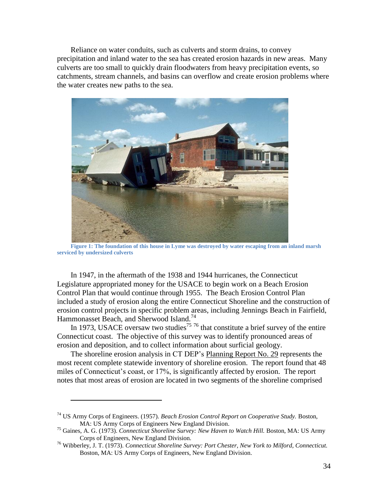Reliance on water conduits, such as culverts and storm drains, to convey precipitation and inland water to the sea has created erosion hazards in new areas. Many culverts are too small to quickly drain floodwaters from heavy precipitation events, so catchments, stream channels, and basins can overflow and create erosion problems where the water creates new paths to the sea.



**Figure 1: The foundation of this house in Lyme was destroyed by water escaping from an inland marsh serviced by undersized culverts**

In 1947, in the aftermath of the 1938 and 1944 hurricanes, the Connecticut Legislature appropriated money for the USACE to begin work on a Beach Erosion Control Plan that would continue through 1955. The Beach Erosion Control Plan included a study of erosion along the entire Connecticut Shoreline and the construction of erosion control projects in specific problem areas, including Jennings Beach in Fairfield, Hammonasset Beach, and Sherwood Island.<sup>74</sup>

In 1973, USACE oversaw two studies<sup>75</sup> <sup>76</sup> that constitute a brief survey of the entire Connecticut coast. The objective of this survey was to identify pronounced areas of erosion and deposition, and to collect information about surficial geology.

The shoreline erosion analysis in CT DEP's Planning Report No. 29 represents the most recent complete statewide inventory of shoreline erosion. The report found that 48 miles of Connecticut's coast, or 17%, is significantly affected by erosion. The report notes that most areas of erosion are located in two segments of the shoreline comprised

<sup>74</sup> US Army Corps of Engineers. (1957). *Beach Erosion Control Report on Cooperative Study.* Boston, MA: US Army Corps of Engineers New England Division.

<sup>75</sup> Gaines, A. G. (1973). *Connecticut Shoreline Survey: New Haven to Watch Hill.* Boston, MA: US Army Corps of Engineers, New England Division.

<sup>76</sup> Wibberley, J. T. (1973). *Connecticut Shoreline Survey: Port Chester, New York to Milford, Connecticut.* Boston, MA: US Army Corps of Engineers, New England Division.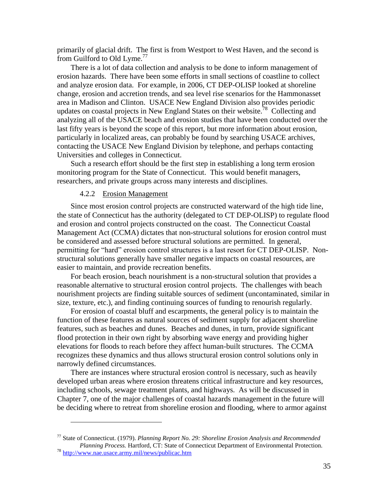primarily of glacial drift. The first is from Westport to West Haven, and the second is from Guilford to Old Lyme.<sup>77</sup>

There is a lot of data collection and analysis to be done to inform management of erosion hazards. There have been some efforts in small sections of coastline to collect and analyze erosion data. For example, in 2006, CT DEP-OLISP looked at shoreline change, erosion and accretion trends, and sea level rise scenarios for the Hammonasset area in Madison and Clinton. USACE New England Division also provides periodic updates on coastal projects in New England States on their website.<sup>78</sup> Collecting and analyzing all of the USACE beach and erosion studies that have been conducted over the last fifty years is beyond the scope of this report, but more information about erosion, particularly in localized areas, can probably be found by searching USACE archives, contacting the USACE New England Division by telephone, and perhaps contacting Universities and colleges in Connecticut.

Such a research effort should be the first step in establishing a long term erosion monitoring program for the State of Connecticut. This would benefit managers, researchers, and private groups across many interests and disciplines.

## 4.2.2 Erosion Management

<span id="page-34-0"></span>Since most erosion control projects are constructed waterward of the high tide line, the state of Connecticut has the authority (delegated to CT DEP-OLISP) to regulate flood and erosion and control projects constructed on the coast. The Connecticut Coastal Management Act (CCMA) dictates that non-structural solutions for erosion control must be considered and assessed before structural solutions are permitted. In general, permitting for "hard" erosion control structures is a last resort for CT DEP-OLISP. Nonstructural solutions generally have smaller negative impacts on coastal resources, are easier to maintain, and provide recreation benefits.

For beach erosion, beach nourishment is a non-structural solution that provides a reasonable alternative to structural erosion control projects. The challenges with beach nourishment projects are finding suitable sources of sediment (uncontaminated, similar in size, texture, etc.), and finding continuing sources of funding to renourish regularly.

For erosion of coastal bluff and escarpments, the general policy is to maintain the function of these features as natural sources of sediment supply for adjacent shoreline features, such as beaches and dunes. Beaches and dunes, in turn, provide significant flood protection in their own right by absorbing wave energy and providing higher elevations for floods to reach before they affect human-built structures. The CCMA recognizes these dynamics and thus allows structural erosion control solutions only in narrowly defined circumstances.

There are instances where structural erosion control is necessary, such as heavily developed urban areas where erosion threatens critical infrastructure and key resources, including schools, sewage treatment plants, and highways. As will be discussed in Chapter 7, one of the major challenges of coastal hazards management in the future will be deciding where to retreat from shoreline erosion and flooding, where to armor against

<sup>77</sup> State of Connecticut. (1979). *Planning Report No. 29: Shoreline Erosion Analysis and Recommended Planning Process.* Hartford, CT: State of Connecticut Department of Environmental Protection.

<sup>&</sup>lt;sup>78</sup> <http://www.nae.usace.army.mil/news/publicac.htm>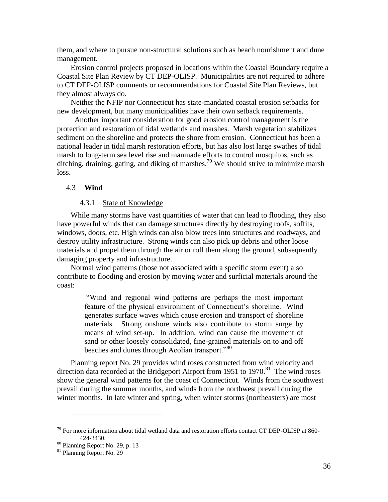them, and where to pursue non-structural solutions such as beach nourishment and dune management.

Erosion control projects proposed in locations within the Coastal Boundary require a Coastal Site Plan Review by CT DEP-OLISP. Municipalities are not required to adhere to CT DEP-OLISP comments or recommendations for Coastal Site Plan Reviews, but they almost always do.

Neither the NFIP nor Connecticut has state-mandated coastal erosion setbacks for new development, but many municipalities have their own setback requirements.

 Another important consideration for good erosion control management is the protection and restoration of tidal wetlands and marshes. Marsh vegetation stabilizes sediment on the shoreline and protects the shore from erosion. Connecticut has been a national leader in tidal marsh restoration efforts, but has also lost large swathes of tidal marsh to long-term sea level rise and manmade efforts to control mosquitos, such as ditching, draining, gating, and diking of marshes.<sup>79</sup> We should strive to minimize marsh loss.

#### <span id="page-35-0"></span>4.3 **Wind**

#### 4.3.1 State of Knowledge

<span id="page-35-1"></span>While many storms have vast quantities of water that can lead to flooding, they also have powerful winds that can damage structures directly by destroying roofs, soffits, windows, doors, etc. High winds can also blow trees into structures and roadways, and destroy utility infrastructure. Strong winds can also pick up debris and other loose materials and propel them through the air or roll them along the ground, subsequently damaging property and infrastructure.

Normal wind patterns (those not associated with a specific storm event) also contribute to flooding and erosion by moving water and surficial materials around the coast:

> ―Wind and regional wind patterns are perhaps the most important feature of the physical environment of Connecticut's shoreline. Wind generates surface waves which cause erosion and transport of shoreline materials. Strong onshore winds also contribute to storm surge by means of wind set-up. In addition, wind can cause the movement of sand or other loosely consolidated, fine-grained materials on to and off beaches and dunes through Aeolian transport."<sup>80</sup>

Planning report No. 29 provides wind roses constructed from wind velocity and direction data recorded at the Bridgeport Airport from 1951 to 1970.<sup>81</sup> The wind roses show the general wind patterns for the coast of Connecticut. Winds from the southwest prevail during the summer months, and winds from the northwest prevail during the winter months. In late winter and spring, when winter storms (northeasters) are most

 $^{79}$  For more information about tidal wetland data and restoration efforts contact CT DEP-OLISP at 860-424-3430.

<sup>80</sup> Planning Report No. 29, p. 13

<sup>&</sup>lt;sup>81</sup> Planning Report No. 29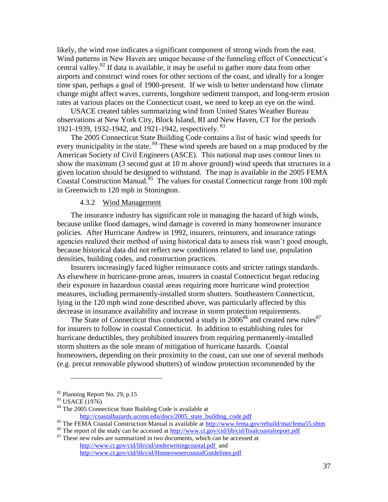likely, the wind rose indicates a significant component of strong winds from the east. Wind patterns in New Haven are unique because of the funneling effect of Connecticut's central valley.<sup>82</sup> If data is available, it may be useful to gather more data from other airports and construct wind roses for other sections of the coast, and ideally for a longer time span, perhaps a goal of 1900-present. If we wish to better understand how climate change might affect waves, currents, longshore sediment transport, and long-term erosion rates at various places on the Connecticut coast, we need to keep an eye on the wind.

USACE created tables summarizing wind from United States Weather Bureau observations at New York City, Block Island, RI and New Haven, CT for the periods 1921-1939, 1932-1942, and 1921-1942, respectively. <sup>83</sup>

The 2005 Connecticut State Building Code contains a list of basic wind speeds for every municipality in the state. <sup>84</sup> These wind speeds are based on a map produced by the American Society of Civil Engineers (ASCE). This national map uses contour lines to show the maximum (3 second gust at 10 m above ground) wind speeds that structures in a given location should be designed to withstand. The map is available in the 2005 FEMA Coastal Construction Manual.<sup>85</sup> The values for coastal Connecticut range from 100 mph in Greenwich to 120 mph in Stonington.

# 4.3.2 Wind Management

<span id="page-36-0"></span>The insurance industry has significant role in managing the hazard of high winds, because unlike flood damages, wind damage is covered in many homeowner insurance policies. After Hurricane Andrew in 1992, insurers, reinsurers, and insurance ratings agencies realized their method of using historical data to assess risk wasn't good enough, because historical data did not reflect new conditions related to land use, population densities, building codes, and construction practices.

Insurers increasingly faced higher reinsurance costs and stricter ratings standards. As elsewhere in hurricane-prone areas, insurers in coastal Connecticut began reducing their exposure in hazardous coastal areas requiring more hurricane wind protection measures, including permanently-installed storm shutters. Southeastern Connecticut, lying in the 120 mph wind zone described above, was particularly affected by this decrease in insurance availability and increase in storm protection requirements.

The State of Connecticut thus conducted a study in  $2006^{86}$  and created new rules<sup>87</sup> for insurers to follow in coastal Connecticut. In addition to establishing rules for hurricane deductibles, they prohibited insurers from requiring permanently-installed storm shutters as the sole means of mitigation of hurricane hazards. Coastal homeowners, depending on their proximity to the coast, can use one of several methods (e.g. precut removable plywood shutters) of window protection recommended by the

<sup>82</sup> Planning Report No. 29, p.15

<sup>83</sup> USACE (1976)

<sup>&</sup>lt;sup>84</sup> The 2005 Connecticut State Building Code is available at

[http://coastalhazards.uconn.edu/docs/2005\\_state\\_building\\_code.pdf](http://coastalhazards.uconn.edu/docs/2005_state_building_code.pdf)

<sup>85</sup> The FEMA Coastal Construction Manual is available at <http://www.fema.gov/rebuild/mat/fema55.shtm>

<sup>&</sup>lt;sup>86</sup> The report of the study can be accessed a[t http://www.ct.gov/cid/lib/cid/finalcoastalreport.pdf](http://www.ct.gov/cid/lib/cid/finalcoastalreport.pdf)

<sup>&</sup>lt;sup>87</sup> These new rules are summarized in two documents, which can be accessed at http://www.ct.gov/cid/lib/cid/underwritingcoastal.pdf and http://www.ct.gov/cid/lib/cid/HomeownercoastalGuidelines.pdf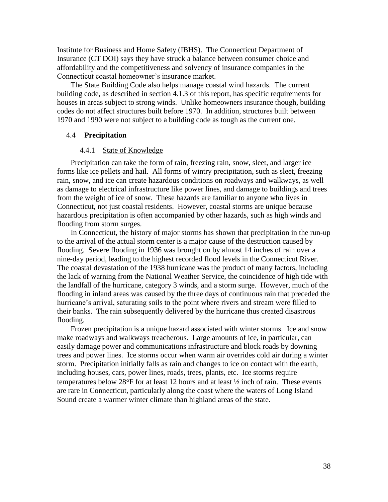Institute for Business and Home Safety (IBHS). The Connecticut Department of Insurance (CT DOI) says they have struck a balance between consumer choice and affordability and the competitiveness and solvency of insurance companies in the Connecticut coastal homeowner's insurance market.

The State Building Code also helps manage coastal wind hazards. The current building code, as described in section 4.1.3 of this report, has specific requirements for houses in areas subject to strong winds. Unlike homeowners insurance though, building codes do not affect structures built before 1970. In addition, structures built between 1970 and 1990 were not subject to a building code as tough as the current one.

#### <span id="page-37-0"></span>4.4 **Precipitation**

#### 4.4.1 State of Knowledge

<span id="page-37-1"></span>Precipitation can take the form of rain, freezing rain, snow, sleet, and larger ice forms like ice pellets and hail. All forms of wintry precipitation, such as sleet, freezing rain, snow, and ice can create hazardous conditions on roadways and walkways, as well as damage to electrical infrastructure like power lines, and damage to buildings and trees from the weight of ice of snow. These hazards are familiar to anyone who lives in Connecticut, not just coastal residents. However, coastal storms are unique because hazardous precipitation is often accompanied by other hazards, such as high winds and flooding from storm surges.

In Connecticut, the history of major storms has shown that precipitation in the run-up to the arrival of the actual storm center is a major cause of the destruction caused by flooding. Severe flooding in 1936 was brought on by almost 14 inches of rain over a nine-day period, leading to the highest recorded flood levels in the Connecticut River. The coastal devastation of the 1938 hurricane was the product of many factors, including the lack of warning from the National Weather Service, the coincidence of high tide with the landfall of the hurricane, category 3 winds, and a storm surge. However, much of the flooding in inland areas was caused by the three days of continuous rain that preceded the hurricane's arrival, saturating soils to the point where rivers and stream were filled to their banks. The rain subsequently delivered by the hurricane thus created disastrous flooding.

Frozen precipitation is a unique hazard associated with winter storms. Ice and snow make roadways and walkways treacherous. Large amounts of ice, in particular, can easily damage power and communications infrastructure and block roads by downing trees and power lines. Ice storms occur when warm air overrides cold air during a winter storm. Precipitation initially falls as rain and changes to ice on contact with the earth, including houses, cars, power lines, roads, trees, plants, etc. Ice storms require temperatures below  $28^{\circ}$ F for at least 12 hours and at least  $\frac{1}{2}$  inch of rain. These events are rare in Connecticut, particularly along the coast where the waters of Long Island Sound create a warmer winter climate than highland areas of the state.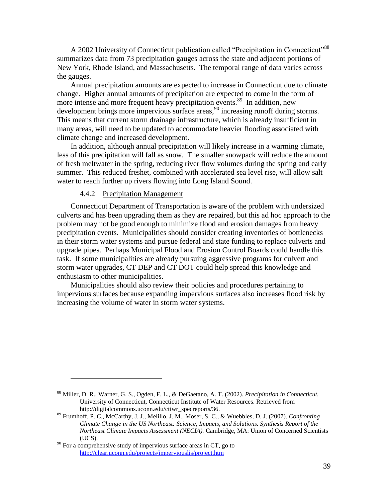A 2002 University of Connecticut publication called "Precipitation in Connecticut"<sup>88</sup> summarizes data from 73 precipitation gauges across the state and adjacent portions of New York, Rhode Island, and Massachusetts. The temporal range of data varies across the gauges.

Annual precipitation amounts are expected to increase in Connecticut due to climate change. Higher annual amounts of precipitation are expected to come in the form of more intense and more frequent heavy precipitation events.<sup>89</sup> In addition, new development brings more impervious surface areas,<sup>90</sup> increasing runoff during storms. This means that current storm drainage infrastructure, which is already insufficient in many areas, will need to be updated to accommodate heavier flooding associated with climate change and increased development.

In addition, although annual precipitation will likely increase in a warming climate, less of this precipitation will fall as snow. The smaller snowpack will reduce the amount of fresh meltwater in the spring, reducing river flow volumes during the spring and early summer. This reduced freshet, combined with accelerated sea level rise, will allow salt water to reach further up rivers flowing into Long Island Sound.

#### 4.4.2 Precipitation Management

<span id="page-38-0"></span>Connecticut Department of Transportation is aware of the problem with undersized culverts and has been upgrading them as they are repaired, but this ad hoc approach to the problem may not be good enough to minimize flood and erosion damages from heavy precipitation events. Municipalities should consider creating inventories of bottlenecks in their storm water systems and pursue federal and state funding to replace culverts and upgrade pipes. Perhaps Municipal Flood and Erosion Control Boards could handle this task. If some municipalities are already pursuing aggressive programs for culvert and storm water upgrades, CT DEP and CT DOT could help spread this knowledge and enthusiasm to other municipalities.

Municipalities should also review their policies and procedures pertaining to impervious surfaces because expanding impervious surfaces also increases flood risk by increasing the volume of water in storm water systems.

<sup>88</sup> Miller, D. R., Warner, G. S., Ogden, F. L., & DeGaetano, A. T. (2002). *Precipitation in Connecticut.* University of Connecticut, Connecticut Institute of Water Resources. Retrieved from http://digitalcommons.uconn.edu/ctiwr\_specreports/36.

<sup>89</sup> Frumhoff, P. C., McCarthy, J. J., Melillo, J. M., Moser, S. C., & Wuebbles, D. J. (2007). *Confronting Climate Change in the US Northeast: Science, Impacts, and Solutions. Synthesis Report of the Northeast Climate Impacts Assessment (NECIA).* Cambridge, MA: Union of Concerned Scientists (UCS).

 $90$  For a comprehensive study of impervious surface areas in CT, go to <http://clear.uconn.edu/projects/imperviouslis/project.htm>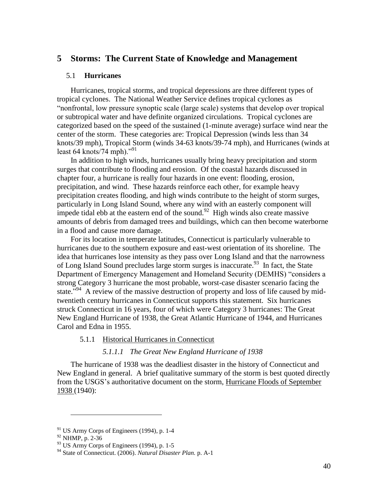# <span id="page-39-0"></span>**5 Storms: The Current State of Knowledge and Management**

#### <span id="page-39-1"></span>5.1 **Hurricanes**

Hurricanes, tropical storms, and tropical depressions are three different types of tropical cyclones. The National Weather Service defines tropical cyclones as ―nonfrontal, low pressure synoptic scale (large scale) systems that develop over tropical or subtropical water and have definite organized circulations. Tropical cyclones are categorized based on the speed of the sustained (1-minute average) surface wind near the center of the storm. These categories are: Tropical Depression (winds less than 34 knots/39 mph), Tropical Storm (winds 34-63 knots/39-74 mph), and Hurricanes (winds at least 64 knots/74 mph). $v^{91}$ 

In addition to high winds, hurricanes usually bring heavy precipitation and storm surges that contribute to flooding and erosion. Of the coastal hazards discussed in chapter four, a hurricane is really four hazards in one event: flooding, erosion, precipitation, and wind. These hazards reinforce each other, for example heavy precipitation creates flooding, and high winds contribute to the height of storm surges, particularly in Long Island Sound, where any wind with an easterly component will impede tidal ebb at the eastern end of the sound.<sup>92</sup> High winds also create massive amounts of debris from damaged trees and buildings, which can then become waterborne in a flood and cause more damage.

For its location in temperate latitudes, Connecticut is particularly vulnerable to hurricanes due to the southern exposure and east-west orientation of its shoreline. The idea that hurricanes lose intensity as they pass over Long Island and that the narrowness of Long Island Sound precludes large storm surges is inaccurate.<sup>93</sup> In fact, the State Department of Emergency Management and Homeland Security (DEMHS) "considers a strong Category 3 hurricane the most probable, worst-case disaster scenario facing the state."<sup>94</sup> A review of the massive destruction of property and loss of life caused by midtwentieth century hurricanes in Connecticut supports this statement. Six hurricanes struck Connecticut in 16 years, four of which were Category 3 hurricanes: The Great New England Hurricane of 1938, the Great Atlantic Hurricane of 1944, and Hurricanes Carol and Edna in 1955.

#### <span id="page-39-2"></span>5.1.1 Historical Hurricanes in Connecticut

# *5.1.1.1 The Great New England Hurricane of 1938*

The hurricane of 1938 was the deadliest disaster in the history of Connecticut and New England in general. A brief qualitative summary of the storm is best quoted directly from the USGS's authoritative document on the storm, Hurricane Floods of September 1938 (1940):

 $91$  US Army Corps of Engineers (1994), p. 1-4

<sup>92</sup> NHMP, p. 2-36

 $93$  US Army Corps of Engineers (1994), p. 1-5

<sup>94</sup> State of Connecticut. (2006). *Natural Disaster Plan.* p. A-1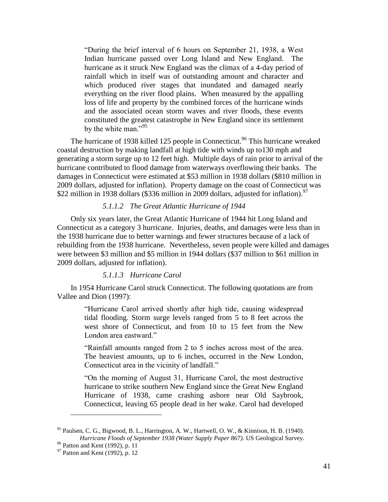―During the brief interval of 6 hours on September 21, 1938, a West Indian hurricane passed over Long Island and New England. The hurricane as it struck New England was the climax of a 4-day period of rainfall which in itself was of outstanding amount and character and which produced river stages that inundated and damaged nearly everything on the river flood plains. When measured by the appalling loss of life and property by the combined forces of the hurricane winds and the associated ocean storm waves and river floods, these events constituted the greatest catastrophe in New England since its settlement by the white man." $95$ 

The hurricane of 1938 killed 125 people in Connecticut.<sup>96</sup> This hurricane wreaked coastal destruction by making landfall at high tide with winds up to130 mph and generating a storm surge up to 12 feet high. Multiple days of rain prior to arrival of the hurricane contributed to flood damage from waterways overflowing their banks. The damages in Connecticut were estimated at \$53 million in 1938 dollars (\$810 million in 2009 dollars, adjusted for inflation). Property damage on the coast of Connecticut was \$22 million in 1938 dollars (\$336 million in 2009 dollars, adjusted for inflation).<sup>97</sup>

#### *5.1.1.2 The Great Atlantic Hurricane of 1944*

Only six years later, the Great Atlantic Hurricane of 1944 hit Long Island and Connecticut as a category 3 hurricane. Injuries, deaths, and damages were less than in the 1938 hurricane due to better warnings and fewer structures because of a lack of rebuilding from the 1938 hurricane. Nevertheless, seven people were killed and damages were between \$3 million and \$5 million in 1944 dollars (\$37 million to \$61 million in 2009 dollars, adjusted for inflation).

#### *5.1.1.3 Hurricane Carol*

In 1954 Hurricane Carol struck Connecticut. The following quotations are from Vallee and Dion (1997):

> ―Hurricane Carol arrived shortly after high tide, causing widespread tidal flooding. Storm surge levels ranged from 5 to 8 feet across the west shore of Connecticut, and from 10 to 15 feet from the New London area eastward."

> ―Rainfall amounts ranged from 2 to 5 inches across most of the area. The heaviest amounts, up to 6 inches, occurred in the New London, Connecticut area in the vicinity of landfall."

> ―On the morning of August 31, Hurricane Carol, the most destructive hurricane to strike southern New England since the Great New England Hurricane of 1938, came crashing ashore near Old Saybrook, Connecticut, leaving 65 people dead in her wake. Carol had developed

 $95$  Paulsen, C. G., Bigwood, B. L., Harrington, A. W., Hartwell, O. W., & Kinnison, H. B. (1940). *Hurricane Floods of September 1938 (Water Supply Paper 867).* US Geological Survey.

<sup>96</sup> Patton and Kent (1992), p. 11

 $97$  Patton and Kent (1992), p. 12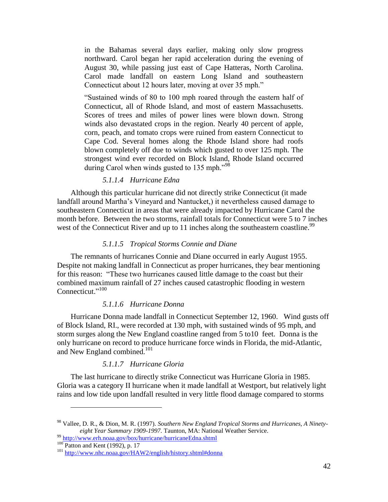in the Bahamas several days earlier, making only slow progress northward. Carol began her rapid acceleration during the evening of August 30, while passing just east of Cape Hatteras, North Carolina. Carol made landfall on eastern Long Island and southeastern Connecticut about 12 hours later, moving at over 35 mph."

―Sustained winds of 80 to 100 mph roared through the eastern half of Connecticut, all of Rhode Island, and most of eastern Massachusetts. Scores of trees and miles of power lines were blown down. Strong winds also devastated crops in the region. Nearly 40 percent of apple, corn, peach, and tomato crops were ruined from eastern Connecticut to Cape Cod. Several homes along the Rhode Island shore had roofs blown completely off due to winds which gusted to over 125 mph. The strongest wind ever recorded on Block Island, Rhode Island occurred during Carol when winds gusted to  $135$  mph."<sup>98</sup>

#### *5.1.1.4 Hurricane Edna*

Although this particular hurricane did not directly strike Connecticut (it made landfall around Martha's Vineyard and Nantucket,) it nevertheless caused damage to southeastern Connecticut in areas that were already impacted by Hurricane Carol the month before. Between the two storms, rainfall totals for Connecticut were 5 to 7 inches west of the Connecticut River and up to 11 inches along the southeastern coastline.<sup>99</sup>

#### *5.1.1.5 Tropical Storms Connie and Diane*

The remnants of hurricanes Connie and Diane occurred in early August 1955. Despite not making landfall in Connecticut as proper hurricanes, they bear mentioning for this reason: "These two hurricanes caused little damage to the coast but their combined maximum rainfall of 27 inches caused catastrophic flooding in western Connecticut."<sup>100</sup>

#### *5.1.1.6 Hurricane Donna*

Hurricane Donna made landfall in Connecticut September 12, 1960. Wind gusts off of Block Island, RI., were recorded at 130 mph, with sustained winds of 95 mph, and storm surges along the New England coastline ranged from 5 to10 feet. Donna is the only hurricane on record to produce hurricane force winds in Florida, the mid-Atlantic, and New England combined.<sup>101</sup>

## *5.1.1.7 Hurricane Gloria*

The last hurricane to directly strike Connecticut was Hurricane Gloria in 1985. Gloria was a category II hurricane when it made landfall at Westport, but relatively light rains and low tide upon landfall resulted in very little flood damage compared to storms

<sup>98</sup> Vallee, D. R., & Dion, M. R. (1997). *Southern New England Tropical Storms and Hurricanes, A Ninetyeight Year Summary 1909-1997.* Taunton, MA: National Weather Service.

<sup>99</sup> <http://www.erh.noaa.gov/box/hurricane/hurricaneEdna.shtml>

<sup>100</sup> Patton and Kent (1992), p. 17

<sup>&</sup>lt;sup>101</sup> <http://www.nhc.noaa.gov/HAW2/english/history.shtml#donna>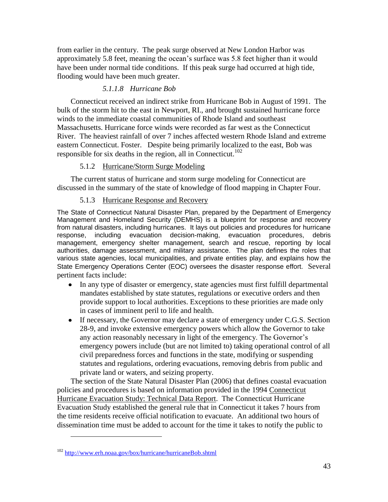from earlier in the century. The peak surge observed at New London Harbor was approximately 5.8 feet, meaning the ocean's surface was 5.8 feet higher than it would have been under normal tide conditions. If this peak surge had occurred at high tide, flooding would have been much greater.

# *5.1.1.8 Hurricane Bob*

Connecticut received an indirect strike from Hurricane Bob in August of 1991. The bulk of the storm hit to the east in Newport, RI., and brought sustained hurricane force winds to the immediate coastal communities of Rhode Island and southeast Massachusetts. Hurricane force winds were recorded as far west as the Connecticut River. The heaviest rainfall of over 7 inches affected western Rhode Island and extreme eastern Connecticut. Foster. Despite being primarily localized to the east, Bob was responsible for six deaths in the region, all in Connecticut.<sup>102</sup>

# 5.1.2 Hurricane/Storm Surge Modeling

<span id="page-42-0"></span>The current status of hurricane and storm surge modeling for Connecticut are discussed in the summary of the state of knowledge of flood mapping in Chapter Four.

# 5.1.3 Hurricane Response and Recovery

<span id="page-42-1"></span>The State of Connecticut Natural Disaster Plan, prepared by the Department of Emergency Management and Homeland Security (DEMHS) is a blueprint for response and recovery from natural disasters, including hurricanes. It lays out policies and procedures for hurricane response, including evacuation decision-making, evacuation procedures, debris management, emergency shelter management, search and rescue, reporting by local authorities, damage assessment, and military assistance. The plan defines the roles that various state agencies, local municipalities, and private entities play, and explains how the State Emergency Operations Center (EOC) oversees the disaster response effort. Several pertinent facts include:

- In any type of disaster or emergency, state agencies must first fulfill departmental mandates established by state statutes, regulations or executive orders and then provide support to local authorities. Exceptions to these priorities are made only in cases of imminent peril to life and health.
- If necessary, the Governor may declare a state of emergency under C.G.S. Section 28-9, and invoke extensive emergency powers which allow the Governor to take any action reasonably necessary in light of the emergency. The Governor's emergency powers include (but are not limited to) taking operational control of all civil preparedness forces and functions in the state, modifying or suspending statutes and regulations, ordering evacuations, removing debris from public and private land or waters, and seizing property.

The section of the State Natural Disaster Plan (2006) that defines coastal evacuation policies and procedures is based on information provided in the 1994 Connecticut Hurricane Evacuation Study: Technical Data Report. The Connecticut Hurricane Evacuation Study established the general rule that in Connecticut it takes 7 hours from the time residents receive official notification to evacuate. An additional two hours of dissemination time must be added to account for the time it takes to notify the public to

 $102$  <http://www.erh.noaa.gov/box/hurricane/hurricaneBob.shtml>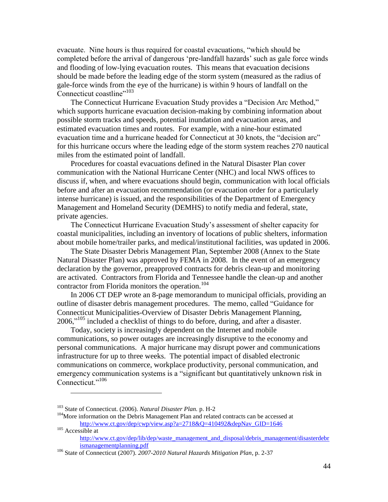evacuate. Nine hours is thus required for coastal evacuations, "which should be completed before the arrival of dangerous 'pre-landfall hazards' such as gale force winds and flooding of low-lying evacuation routes. This means that evacuation decisions should be made before the leading edge of the storm system (measured as the radius of gale-force winds from the eye of the hurricane) is within 9 hours of landfall on the Connecticut coastline"<sup>103</sup>

The Connecticut Hurricane Evacuation Study provides a "Decision Arc Method," which supports hurricane evacuation decision-making by combining information about possible storm tracks and speeds, potential inundation and evacuation areas, and estimated evacuation times and routes. For example, with a nine-hour estimated evacuation time and a hurricane headed for Connecticut at 30 knots, the "decision arc" for this hurricane occurs where the leading edge of the storm system reaches 270 nautical miles from the estimated point of landfall.

Procedures for coastal evacuations defined in the Natural Disaster Plan cover communication with the National Hurricane Center (NHC) and local NWS offices to discuss if, when, and where evacuations should begin, communication with local officials before and after an evacuation recommendation (or evacuation order for a particularly intense hurricane) is issued, and the responsibilities of the Department of Emergency Management and Homeland Security (DEMHS) to notify media and federal, state, private agencies.

The Connecticut Hurricane Evacuation Study's assessment of shelter capacity for coastal municipalities, including an inventory of locations of public shelters, information about mobile home/trailer parks, and medical/institutional facilities, was updated in 2006.

The State Disaster Debris Management Plan, September 2008 (Annex to the State Natural Disaster Plan) was approved by FEMA in 2008. In the event of an emergency declaration by the governor, preapproved contracts for debris clean-up and monitoring are activated. Contractors from Florida and Tennessee handle the clean-up and another contractor from Florida monitors the operation.<sup>104</sup>

In 2006 CT DEP wrote an 8-page memorandum to municipal officials, providing an outline of disaster debris management procedures. The memo, called "Guidance for Connecticut Municipalities-Overview of Disaster Debris Management Planning,  $2006$ ,<sup> $105$ </sup> included a checklist of things to do before, during, and after a disaster.

Today, society is increasingly dependent on the Internet and mobile communications, so power outages are increasingly disruptive to the economy and personal communications. A major hurricane may disrupt power and communications infrastructure for up to three weeks. The potential impact of disabled electronic communications on commerce, workplace productivity, personal communication, and emergency communication systems is a "significant but quantitatively unknown risk in Connecticut."<sup>106</sup>

<sup>103</sup> State of Connecticut. (2006). *Natural Disaster Plan.* p. H-2

<sup>&</sup>lt;sup>104</sup>More information on the Debris Management Plan and related contracts can be accessed at http://www.ct.gov/dep/cwp/view.asp?a=2718&Q=410492&depNav\_GID=1646 <sup>105</sup> Accessible at

[http://www.ct.gov/dep/lib/dep/waste\\_management\\_and\\_disposal/debris\\_management/disasterdebr](http://www.ct.gov/dep/lib/dep/waste_management_and_disposal/debris_management/disasterdebrismanagementplanning.pdf) [ismanagementplanning.pdf](http://www.ct.gov/dep/lib/dep/waste_management_and_disposal/debris_management/disasterdebrismanagementplanning.pdf)

<sup>106</sup> State of Connecticut (2007). *2007-2010 Natural Hazards Mitigation Plan*, p. 2-37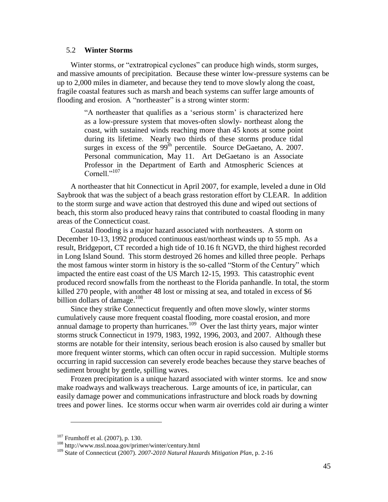#### <span id="page-44-0"></span>5.2 **Winter Storms**

Winter storms, or "extratropical cyclones" can produce high winds, storm surges, and massive amounts of precipitation. Because these winter low-pressure systems can be up to 2,000 miles in diameter, and because they tend to move slowly along the coast, fragile coastal features such as marsh and beach systems can suffer large amounts of flooding and erosion. A "northeaster" is a strong winter storm:

―A northeaster that qualifies as a ‗serious storm' is characterized here as a low-pressure system that moves-often slowly- northeast along the coast, with sustained winds reaching more than 45 knots at some point during its lifetime. Nearly two thirds of these storms produce tidal surges in excess of the 99<sup>th</sup> percentile. Source DeGaetano, A. 2007. Personal communication, May 11. Art DeGaetano is an Associate Professor in the Department of Earth and Atmospheric Sciences at Cornell $^{1,107}$ 

A northeaster that hit Connecticut in April 2007, for example, leveled a dune in Old Saybrook that was the subject of a beach grass restoration effort by CLEAR. In addition to the storm surge and wave action that destroyed this dune and wiped out sections of beach, this storm also produced heavy rains that contributed to coastal flooding in many areas of the Connecticut coast.

Coastal flooding is a major hazard associated with northeasters. A storm on December 10-13, 1992 produced continuous east/northeast winds up to 55 mph. As a result, Bridgeport, CT recorded a high tide of 10.16 ft NGVD, the third highest recorded in Long Island Sound. This storm destroyed 26 homes and killed three people. Perhaps the most famous winter storm in history is the so-called "Storm of the Century" which impacted the entire east coast of the US March 12-15, 1993. This catastrophic event produced record snowfalls from the northeast to the Florida panhandle. In total, the storm killed 270 people, with another 48 lost or missing at sea, and totaled in excess of \$6 billion dollars of damage. 108

Since they strike Connecticut frequently and often move slowly, winter storms cumulatively cause more frequent coastal flooding, more coastal erosion, and more annual damage to property than hurricanes.<sup>109</sup> Over the last thirty years, major winter storms struck Connecticut in 1979, 1983, 1992, 1996, 2003, and 2007. Although these storms are notable for their intensity, serious beach erosion is also caused by smaller but more frequent winter storms, which can often occur in rapid succession. Multiple storms occurring in rapid succession can severely erode beaches because they starve beaches of sediment brought by gentle, spilling waves.

Frozen precipitation is a unique hazard associated with winter storms. Ice and snow make roadways and walkways treacherous. Large amounts of ice, in particular, can easily damage power and communications infrastructure and block roads by downing trees and power lines. Ice storms occur when warm air overrides cold air during a winter

<sup>107</sup> Frumhoff et al. (2007), p. 130.

<sup>108</sup> http://www.nssl.noaa.gov/primer/winter/century.html

<sup>109</sup> State of Connecticut (2007). *2007-2010 Natural Hazards Mitigation Plan*, p. 2-16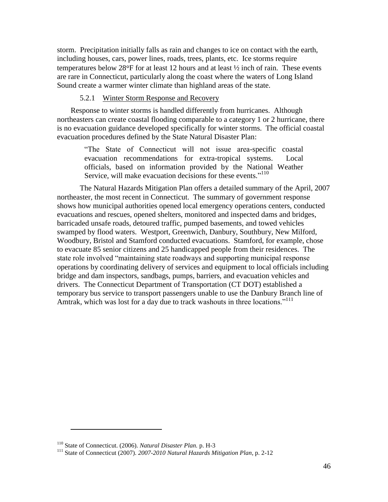storm. Precipitation initially falls as rain and changes to ice on contact with the earth, including houses, cars, power lines, roads, trees, plants, etc. Ice storms require temperatures below 28 $\textdegree$ F for at least 12 hours and at least  $\frac{1}{2}$  inch of rain. These events are rare in Connecticut, particularly along the coast where the waters of Long Island Sound create a warmer winter climate than highland areas of the state.

# 5.2.1 Winter Storm Response and Recovery

<span id="page-45-0"></span>Response to winter storms is handled differently from hurricanes. Although northeasters can create coastal flooding comparable to a category 1 or 2 hurricane, there is no evacuation guidance developed specifically for winter storms. The official coastal evacuation procedures defined by the State Natural Disaster Plan:

> ―The State of Connecticut will not issue area-specific coastal evacuation recommendations for extra-tropical systems. Local officials, based on information provided by the National Weather Service, will make evacuation decisions for these events."<sup>110</sup>

The Natural Hazards Mitigation Plan offers a detailed summary of the April, 2007 northeaster, the most recent in Connecticut. The summary of government response shows how municipal authorities opened local emergency operations centers, conducted evacuations and rescues, opened shelters, monitored and inspected dams and bridges, barricaded unsafe roads, detoured traffic, pumped basements, and towed vehicles swamped by flood waters. Westport, Greenwich, Danbury, Southbury, New Milford, Woodbury, Bristol and Stamford conducted evacuations. Stamford, for example, chose to evacuate 85 senior citizens and 25 handicapped people from their residences. The state role involved "maintaining state roadways and supporting municipal response operations by coordinating delivery of services and equipment to local officials including bridge and dam inspectors, sandbags, pumps, barriers, and evacuation vehicles and drivers. The Connecticut Department of Transportation (CT DOT) established a temporary bus service to transport passengers unable to use the Danbury Branch line of Amtrak, which was lost for a day due to track washouts in three locations."<sup>111</sup>

<sup>110</sup> State of Connecticut. (2006). *Natural Disaster Plan.* p. H-3

<sup>111</sup> State of Connecticut (2007). *2007-2010 Natural Hazards Mitigation Plan*, p. 2-12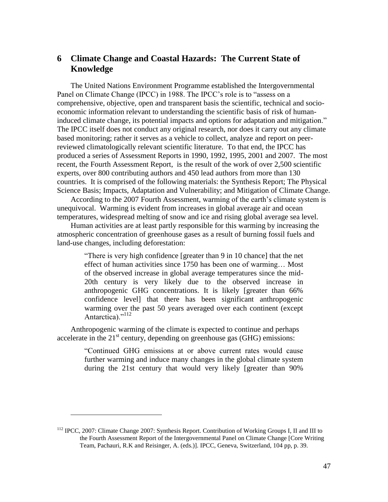# <span id="page-46-0"></span>**6 Climate Change and Coastal Hazards: The Current State of Knowledge**

The United Nations Environment Programme established the Intergovernmental Panel on Climate Change (IPCC) in 1988. The IPCC's role is to "assess on a comprehensive, objective, open and transparent basis the scientific, technical and socioeconomic information relevant to understanding the scientific basis of risk of humaninduced climate change, its potential impacts and options for adaptation and mitigation." The IPCC itself does not conduct any original research, nor does it carry out any climate based monitoring; rather it serves as a vehicle to collect, analyze and report on peerreviewed climatologically relevant scientific literature. To that end, the IPCC has produced a series of Assessment Reports in 1990, 1992, 1995, 2001 and 2007. The most recent, the Fourth Assessment Report, is the result of the work of over 2,500 scientific experts, over 800 contributing authors and 450 lead authors from more than 130 countries. It is comprised of the following materials: the Synthesis Report; The Physical Science Basis; Impacts, Adaptation and Vulnerability; and Mitigation of Climate Change.

According to the 2007 Fourth Assessment, warming of the earth's climate system is unequivocal. Warming is evident from increases in global average air and ocean temperatures, widespread melting of snow and ice and rising global average sea level.

Human activities are at least partly responsible for this warming by increasing the atmospheric concentration of greenhouse gases as a result of burning fossil fuels and land-use changes, including deforestation:

> ―There is very high confidence [greater than 9 in 10 chance] that the net effect of human activities since 1750 has been one of warming… Most of the observed increase in global average temperatures since the mid-20th century is very likely due to the observed increase in anthropogenic GHG concentrations. It is likely [greater than 66% confidence level] that there has been significant anthropogenic warming over the past 50 years averaged over each continent (except Antarctica)."<sup>112</sup>

Anthropogenic warming of the climate is expected to continue and perhaps accelerate in the  $21<sup>st</sup>$  century, depending on greenhouse gas (GHG) emissions:

 $\overline{a}$ 

―Continued GHG emissions at or above current rates would cause further warming and induce many changes in the global climate system during the 21st century that would very likely [greater than 90%

<sup>112</sup> IPCC, 2007: Climate Change 2007: Synthesis Report. Contribution of Working Groups I, II and III to the Fourth Assessment Report of the Intergovernmental Panel on Climate Change [Core Writing Team, Pachauri, R.K and Reisinger, A. (eds.)]. IPCC, Geneva, Switzerland, 104 pp, p. 39.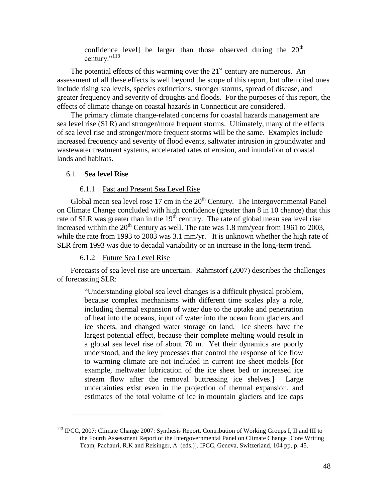confidence level] be larger than those observed during the  $20<sup>th</sup>$ century."<sup>113</sup>

The potential effects of this warming over the  $21<sup>st</sup>$  century are numerous. An assessment of all these effects is well beyond the scope of this report, but often cited ones include rising sea levels, species extinctions, stronger storms, spread of disease, and greater frequency and severity of droughts and floods. For the purposes of this report, the effects of climate change on coastal hazards in Connecticut are considered.

The primary climate change-related concerns for coastal hazards management are sea level rise (SLR) and stronger/more frequent storms. Ultimately, many of the effects of sea level rise and stronger/more frequent storms will be the same. Examples include increased frequency and severity of flood events, saltwater intrusion in groundwater and wastewater treatment systems, accelerated rates of erosion, and inundation of coastal lands and habitats.

#### <span id="page-47-0"></span>6.1 **Sea level Rise**

 $\overline{a}$ 

#### 6.1.1 Past and Present Sea Level Rise

<span id="page-47-1"></span>Global mean sea level rose  $17 \text{ cm}$  in the  $20^{\text{th}}$  Century. The Intergovernmental Panel on Climate Change concluded with high confidence (greater than 8 in 10 chance) that this rate of SLR was greater than in the  $19<sup>th</sup>$  century. The rate of global mean sea level rise increased within the  $20<sup>th</sup>$  Century as well. The rate was 1.8 mm/year from 1961 to 2003, while the rate from 1993 to 2003 was 3.1 mm/yr. It is unknown whether the high rate of SLR from 1993 was due to decadal variability or an increase in the long-term trend.

# 6.1.2 Future Sea Level Rise

<span id="page-47-2"></span>Forecasts of sea level rise are uncertain. Rahmstorf (2007) describes the challenges of forecasting SLR:

> ―Understanding global sea level changes is a difficult physical problem, because complex mechanisms with different time scales play a role, including thermal expansion of water due to the uptake and penetration of heat into the oceans, input of water into the ocean from glaciers and ice sheets, and changed water storage on land. Ice sheets have the largest potential effect, because their complete melting would result in a global sea level rise of about 70 m. Yet their dynamics are poorly understood, and the key processes that control the response of ice flow to warming climate are not included in current ice sheet models [for example, meltwater lubrication of the ice sheet bed or increased ice stream flow after the removal buttressing ice shelves.] Large uncertainties exist even in the projection of thermal expansion, and estimates of the total volume of ice in mountain glaciers and ice caps

<sup>113</sup> IPCC, 2007: Climate Change 2007: Synthesis Report. Contribution of Working Groups I, II and III to the Fourth Assessment Report of the Intergovernmental Panel on Climate Change [Core Writing Team, Pachauri, R.K and Reisinger, A. (eds.)]. IPCC, Geneva, Switzerland, 104 pp, p. 45.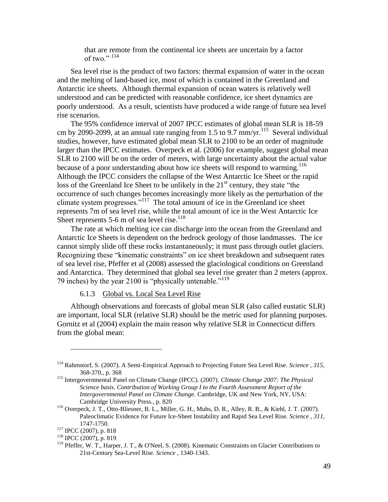that are remote from the continental ice sheets are uncertain by a factor of two."  $114$ 

Sea level rise is the product of two factors: thermal expansion of water in the ocean and the melting of land-based ice, most of which is contained in the Greenland and Antarctic ice sheets. Although thermal expansion of ocean waters is relatively well understood and can be predicted with reasonable confidence, ice sheet dynamics are poorly understood. As a result, scientists have produced a wide range of future sea level rise scenarios.

The 95% confidence interval of 2007 IPCC estimates of global mean SLR is 18-59 cm by 2090-2099, at an annual rate ranging from 1.5 to 9.7  $mm/yr$ <sup>115</sup> Several individual studies, however, have estimated global mean SLR to 2100 to be an order of magnitude larger than the IPCC estimates. Overpeck et al. (2006) for example, suggest global mean SLR to 2100 will be on the order of meters, with large uncertainty about the actual value because of a poor understanding about how ice sheets will respond to warming.<sup>116</sup> Although the IPCC considers the collapse of the West Antarctic Ice Sheet or the rapid loss of the Greenland Ice Sheet to be unlikely in the  $21<sup>st</sup>$  century, they state "the occurrence of such changes becomes increasingly more likely as the perturbation of the climate system progresses." $117$  The total amount of ice in the Greenland ice sheet represents 7m of sea level rise, while the total amount of ice in the West Antarctic Ice Sheet represents 5-6 m of sea level rise.<sup>118</sup>

The rate at which melting ice can discharge into the ocean from the Greenland and Antarctic Ice Sheets is dependent on the bedrock geology of those landmasses. The ice cannot simply slide off these rocks instantaneously; it must pass through outlet glaciers. Recognizing these "kinematic constraints" on ice sheet breakdown and subsequent rates of sea level rise, Pfeffer et al (2008) assessed the glaciological conditions on Greenland and Antarctica. They determined that global sea level rise greater than 2 meters (approx. 79 inches) by the year 2100 is "physically untenable."<sup>119</sup>

6.1.3 Global vs. Local Sea Level Rise

<span id="page-48-0"></span>Although observations and forecasts of global mean SLR (also called eustatic SLR) are important, local SLR (relative SLR) should be the metric used for planning purposes. Gornitz et al (2004) explain the main reason why relative SLR in Connecticut differs from the global mean:

<sup>114</sup> Rahmstorf, S. (2007). A Semi-Empirical Approach to Projecting Future Sea Level Rise. *Science , 315*, 368-370., p. 368

<sup>115</sup> Intergovernmental Panel on Climate Change (IPCC). (2007). *Climate Change 2007: The Physical Science basis. Contribution of Working Group I to the Fourth Assessment Report of the Intergovernmental Panel on Climate Change.* Cambridge, UK and New York, NY, USA: Cambridge University Press., p. 820

<sup>116</sup> Overpeck, J. T., Otto-Bliesner, B. L., Miller, G. H., Muhs, D. R., Alley, R. B., & Kiehl, J. T. (2007). Paleoclimatic Evidence for Future Ice-Sheet Instability and Rapid Sea Level Rise. *Science , 311*, 1747-1750.

<sup>117</sup> IPCC (2007), p. 818

<sup>118</sup> IPCC (2007), p. 819

<sup>&</sup>lt;sup>119</sup> Pfeffer, W. T., Harper, J. T., & O'Neel, S. (2008). Kinematic Constraints on Glacier Contributions to 21st-Century Sea-Level Rise. *Science* , 1340-1343.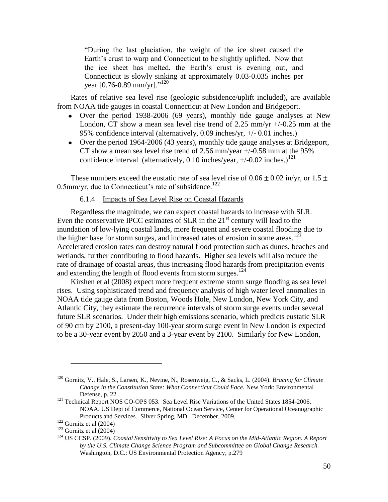―During the last glaciation, the weight of the ice sheet caused the Earth's crust to warp and Connecticut to be slightly uplifted. Now that the ice sheet has melted, the Earth's crust is evening out, and Connecticut is slowly sinking at approximately 0.03-0.035 inches per year [0.76-0.89 mm/yr]."<sup>120</sup>

Rates of relative sea level rise (geologic subsidence/uplift included), are available from NOAA tide gauges in coastal Connecticut at New London and Bridgeport.

- Over the period 1938-2006 (69 years), monthly tide gauge analyses at New London, CT show a mean sea level rise trend of 2.25 mm/yr  $+/-0.25$  mm at the 95% confidence interval (alternatively, 0.09 inches/yr, +/- 0.01 inches.)
- Over the period 1964-2006 (43 years), monthly tide gauge analyses at Bridgeport, CT show a mean sea level rise trend of 2.56 mm/year +/-0.58 mm at the 95% confidence interval (alternatively, 0.10 inches/year,  $+/-0.02$  inches.)<sup>121</sup>

<span id="page-49-0"></span>These numbers exceed the eustatic rate of sea level rise of  $0.06 \pm 0.02$  in/yr, or  $1.5 \pm 0.02$ 0.5mm/yr, due to Connecticut's rate of subsidence.<sup>122</sup>

# 6.1.4 Impacts of Sea Level Rise on Coastal Hazards

Regardless the magnitude, we can expect coastal hazards to increase with SLR. Even the conservative IPCC estimates of SLR in the  $21<sup>st</sup>$  century will lead to the inundation of low-lying coastal lands, more frequent and severe coastal flooding due to the higher base for storm surges, and increased rates of erosion in some areas.<sup>123</sup> Accelerated erosion rates can destroy natural flood protection such as dunes, beaches and wetlands, further contributing to flood hazards. Higher sea levels will also reduce the rate of drainage of coastal areas, thus increasing flood hazards from precipitation events and extending the length of flood events from storm surges.<sup>124</sup>

Kirshen et al (2008) expect more frequent extreme storm surge flooding as sea level rises. Using sophisticated trend and frequency analysis of high water level anomalies in NOAA tide gauge data from Boston, Woods Hole, New London, New York City, and Atlantic City, they estimate the recurrence intervals of storm surge events under several future SLR scenarios. Under their high emissions scenario, which predicts eustatic SLR of 90 cm by 2100, a present-day 100-year storm surge event in New London is expected to be a 30-year event by 2050 and a 3-year event by 2100. Similarly for New London,

<sup>120</sup> Gornitz, V., Hale, S., Larsen, K., Nevine, N., Rosenweig, C., & Sacks, L. (2004). *Bracing for Climate Change in the Constitution State: What Connecticut Could Face.* New York: Environmental Defense, p. 22

<sup>&</sup>lt;sup>121</sup> Technical Report NOS CO-OPS 053. Sea Level Rise Variations of the United States 1854-2006. NOAA. US Dept of Commerce, National Ocean Service, Center for Operational Oceanographic Products and Services. Silver Spring, MD. December, 2009.

 $122$  Gornitz et al (2004)

 $123$  Gornitz et al (2004)

<sup>124</sup> US CCSP. (2009). *Coastal Sensitivity to Sea Level Rise: A Focus on the Mid-Atlantic Region. A Report by the U.S. Climate Change Science Program and Subcommittee on Global Change Research.* Washington, D.C.: US Environmental Protection Agency, p.279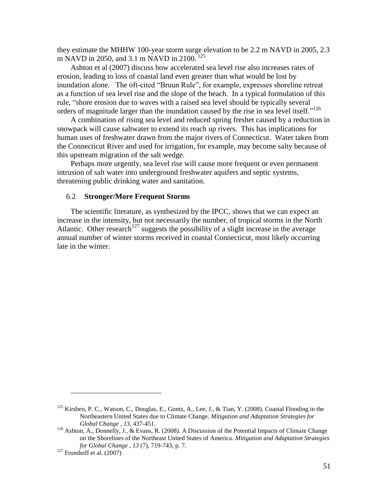they estimate the MHHW 100-year storm surge elevation to be 2.2 m NAVD in 2005, 2.3 m NAVD in 2050, and 3.1 m NAVD in 2100.<sup>125</sup>

Ashton et al (2007) discuss how accelerated sea level rise also increases rates of erosion, leading to loss of coastal land even greater than what would be lost by inundation alone. The oft-cited "Bruun Rule", for example, expresses shoreline retreat as a function of sea level rise and the slope of the beach. In a typical formulation of this rule, "shore erosion due to waves with a raised sea level should be typically several orders of magnitude larger than the inundation caused by the rise in sea level itself."<sup>126</sup>

A combination of rising sea level and reduced spring freshet caused by a reduction in snowpack will cause saltwater to extend its reach up rivers. This has implications for human uses of freshwater drawn from the major rivers of Connecticut. Water taken from the Connecticut River and used for irrigation, for example, may become salty because of this upstream migration of the salt wedge.

Perhaps more urgently, sea level rise will cause more frequent or even permanent intrusion of salt water into underground freshwater aquifers and septic systems, threatening public drinking water and sanitation.

#### <span id="page-50-0"></span>6.2 **Stronger/More Frequent Storms**

The scientific literature, as synthesized by the IPCC, shows that we can expect an increase in the intensity, but not necessarily the number, of tropical storms in the North Atlantic. Other research<sup>127</sup> suggests the possibility of a slight increase in the average annual number of winter storms received in coastal Connecticut, most likely occurring late in the winter.

<sup>&</sup>lt;sup>125</sup> Kirshen, P. C., Watson, C., Douglas, E., Gontz, A., Lee, J., & Tian, Y. (2008). Coastal Flooding in the Northeastern United States due to Climate Change. *Mitigation and Adaptation Strategies for Global Change , 13*, 437-451.

 $126$  Ashton, A., Donnelly, J., & Evans, R. (2008). A Discussion of the Potential Impacts of Climate Change on the Shorelines of the Northeast United States of America. *Mitigation and Adaptation Strategies for Global Change , 13* (7), 719-743, p. 7.

 $127$  Frumhoff et al. (2007)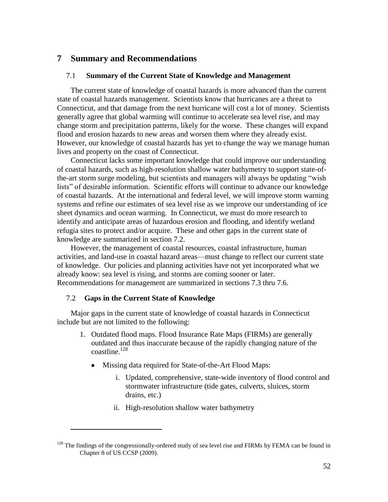# <span id="page-51-0"></span>**7 Summary and Recommendations**

#### <span id="page-51-1"></span>7.1 **Summary of the Current State of Knowledge and Management**

The current state of knowledge of coastal hazards is more advanced than the current state of coastal hazards management. Scientists know that hurricanes are a threat to Connecticut, and that damage from the next hurricane will cost a lot of money. Scientists generally agree that global warming will continue to accelerate sea level rise, and may change storm and precipitation patterns, likely for the worse. These changes will expand flood and erosion hazards to new areas and worsen them where they already exist. However, our knowledge of coastal hazards has yet to change the way we manage human lives and property on the coast of Connecticut.

Connecticut lacks some important knowledge that could improve our understanding of coastal hazards, such as high-resolution shallow water bathymetry to support state-ofthe-art storm surge modeling, but scientists and managers will always be updating "wish" lists" of desirable information. Scientific efforts will continue to advance our knowledge of coastal hazards. At the international and federal level, we will improve storm warning systems and refine our estimates of sea level rise as we improve our understanding of ice sheet dynamics and ocean warming. In Connecticut, we must do more research to identify and anticipate areas of hazardous erosion and flooding, and identify wetland refugia sites to protect and/or acquire. These and other gaps in the current state of knowledge are summarized in section 7.2.

However, the management of coastal resources, coastal infrastructure, human activities, and land-use in coastal hazard areas—must change to reflect our current state of knowledge. Our policies and planning activities have not yet incorporated what we already know: sea level is rising, and storms are coming sooner or later. Recommendations for management are summarized in sections 7.3 thru 7.6.

#### <span id="page-51-2"></span>7.2 **Gaps in the Current State of Knowledge**

 $\overline{a}$ 

Major gaps in the current state of knowledge of coastal hazards in Connecticut include but are not limited to the following:

- 1. Outdated flood maps. Flood Insurance Rate Maps (FIRMs) are generally outdated and thus inaccurate because of the rapidly changing nature of the  $\text{coastline}$ .<sup>128</sup>
	- $\bullet$ Missing data required for State-of-the-Art Flood Maps:
		- i. Updated, comprehensive, state-wide inventory of flood control and stormwater infrastructure (tide gates, culverts, sluices, storm drains, etc.)
		- ii. High-resolution shallow water bathymetry

 $128$  The findings of the congressionally-ordered study of sea level rise and FIRMs by FEMA can be found in Chapter 8 of US CCSP (2009).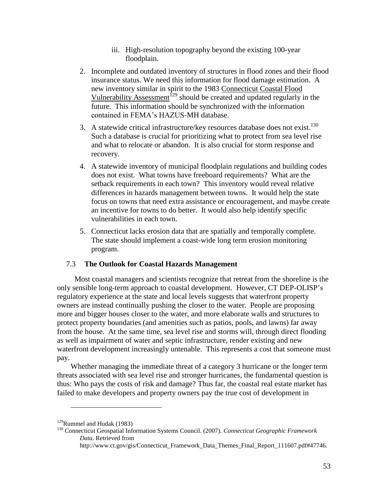- iii. High-resolution topography beyond the existing 100-year floodplain.
- 2. Incomplete and outdated inventory of structures in flood zones and their flood insurance status. We need this information for flood damage estimation. A new inventory similar in spirit to the 1983 Connecticut Coastal Flood Vulnerability Assessment<sup> $129$ </sup> should be created and updated regularly in the future. This information should be synchronized with the information contained in FEMA's HAZUS-MH database.
- 3. A statewide critical infrastructure/key resources database does not exist.<sup>130</sup> Such a database is crucial for prioritizing what to protect from sea level rise and what to relocate or abandon. It is also crucial for storm response and recovery.
- 4. A statewide inventory of municipal floodplain regulations and building codes does not exist. What towns have freeboard requirements? What are the setback requirements in each town? This inventory would reveal relative differences in hazards management between towns. It would help the state focus on towns that need extra assistance or encouragement, and maybe create an incentive for towns to do better. It would also help identify specific vulnerabilities in each town.
- 5. Connecticut lacks erosion data that are spatially and temporally complete. The state should implement a coast-wide long term erosion monitoring program.

# <span id="page-52-0"></span>7.3 **The Outlook for Coastal Hazards Management**

 Most coastal managers and scientists recognize that retreat from the shoreline is the only sensible long-term approach to coastal development. However, CT DEP-OLISP's regulatory experience at the state and local levels suggests that waterfront property owners are instead continually pushing the closer to the water. People are proposing more and bigger houses closer to the water, and more elaborate walls and structures to protect property boundaries (and amenities such as patios, pools, and lawns) far away from the house. At the same time, sea level rise and storms will, through direct flooding as well as impairment of water and septic infrastructure, render existing and new waterfront development increasingly untenable. This represents a cost that someone must pay.

Whether managing the immediate threat of a category 3 hurricane or the longer term threats associated with sea level rise and stronger hurricanes, the fundamental question is thus: Who pays the costs of risk and damage? Thus far, the coastal real estate market has failed to make developers and property owners pay the true cost of development in

 $129$ Rummel and Hudak (1983)

<sup>130</sup> Connecticut Geospatial Information Systems Council. (2007). *Connecticut Geographic Framework Data.* Retrieved from

http://www.ct.gov/gis/Connecticut\_Framework\_Data\_Themes\_Final\_Report\_111607.pdf#47746.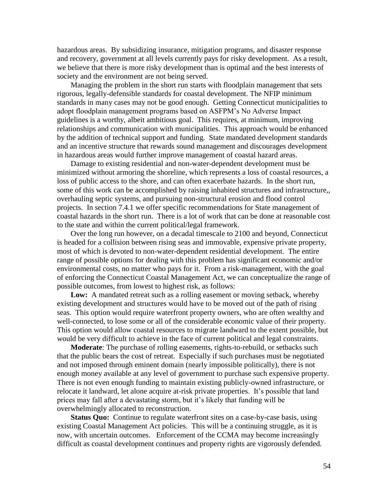hazardous areas. By subsidizing insurance, mitigation programs, and disaster response and recovery, government at all levels currently pays for risky development. As a result, we believe that there is more risky development than is optimal and the best interests of society and the environment are not being served.

Managing the problem in the short run starts with floodplain management that sets rigorous, legally-defensible standards for coastal development. The NFIP minimum standards in many cases may not be good enough. Getting Connecticut municipalities to adopt floodplain management programs based on ASFPM's No Adverse Impact guidelines is a worthy, albeit ambitious goal. This requires, at minimum, improving relationships and communication with municipalities. This approach would be enhanced by the addition of technical support and funding. State mandated development standards and an incentive structure that rewards sound management and discourages development in hazardous areas would further improve management of coastal hazard areas.

Damage to existing residential and non-water-dependent development must be minimized without armoring the shoreline, which represents a loss of coastal resources, a loss of public access to the shore, and can often exacerbate hazards. In the short run, some of this work can be accomplished by raising inhabited structures and infrastructure,, overhauling septic systems, and pursuing non-structural erosion and flood control projects. In section 7.4.1 we offer specific recommendations for State management of coastal hazards in the short run. There is a lot of work that can be done at reasonable cost to the state and within the current political/legal framework.

Over the long run however, on a decadal timescale to 2100 and beyond, Connecticut is headed for a collision between rising seas and immovable, expensive private property, most of which is devoted to non-water-dependent residential development. The entire range of possible options for dealing with this problem has significant economic and/or environmental costs, no matter who pays for it. From a risk-management, with the goal of enforcing the Connecticut Coastal Management Act, we can conceptualize the range of possible outcomes, from lowest to highest risk, as follows:

Low: A mandated retreat such as a rolling easement or moving setback, whereby existing development and structures would have to be moved out of the path of rising seas. This option would require waterfront property owners, who are often wealthy and well-connected, to lose some or all of the considerable economic value of their property. This option would allow coastal resources to migrate landward to the extent possible, but would be very difficult to achieve in the face of current political and legal constraints.

**Moderate**: The purchase of rolling easements, rights-to-rebuild, or setbacks such that the public bears the cost of retreat. Especially if such purchases must be negotiated and not imposed through eminent domain (nearly impossible politically), there is not enough money available at any level of government to purchase such expensive property. There is not even enough funding to maintain existing publicly-owned infrastructure, or relocate it landward, let alone acquire at-risk private properties. It's possible that land prices may fall after a devastating storm, but it's likely that funding will be overwhelmingly allocated to reconstruction.

**Status Quo:** Continue to regulate waterfront sites on a case-by-case basis, using existing Coastal Management Act policies. This will be a continuing struggle, as it is now, with uncertain outcomes. Enforcement of the CCMA may become increasingly difficult as coastal development continues and property rights are vigorously defended.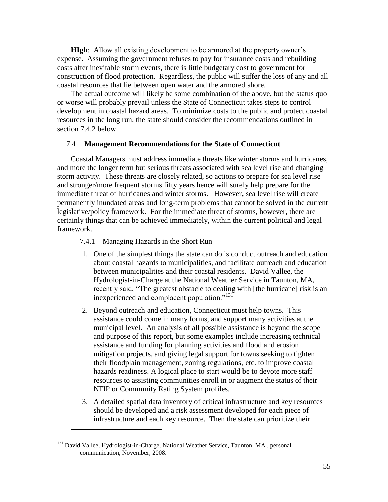**HIgh:** Allow all existing development to be armored at the property owner's expense. Assuming the government refuses to pay for insurance costs and rebuilding costs after inevitable storm events, there is little budgetary cost to government for construction of flood protection. Regardless, the public will suffer the loss of any and all coastal resources that lie between open water and the armored shore.

The actual outcome will likely be some combination of the above, but the status quo or worse will probably prevail unless the State of Connecticut takes steps to control development in coastal hazard areas. To minimize costs to the public and protect coastal resources in the long run, the state should consider the recommendations outlined in section 7.4.2 below.

#### <span id="page-54-0"></span>7.4 **Management Recommendations for the State of Connecticut**

Coastal Managers must address immediate threats like winter storms and hurricanes, and more the longer term but serious threats associated with sea level rise and changing storm activity. These threats are closely related, so actions to prepare for sea level rise and stronger/more frequent storms fifty years hence will surely help prepare for the immediate threat of hurricanes and winter storms. However, sea level rise will create permanently inundated areas and long-term problems that cannot be solved in the current legislative/policy framework. For the immediate threat of storms, however, there are certainly things that can be achieved immediately, within the current political and legal framework.

#### <span id="page-54-1"></span>7.4.1 Managing Hazards in the Short Run

- 1. One of the simplest things the state can do is conduct outreach and education about coastal hazards to municipalities, and facilitate outreach and education between municipalities and their coastal residents. David Vallee, the Hydrologist-in-Charge at the National Weather Service in Taunton, MA, recently said, "The greatest obstacle to dealing with [the hurricane] risk is an inexperienced and complacent population."<sup>131</sup>
- 2. Beyond outreach and education, Connecticut must help towns. This assistance could come in many forms, and support many activities at the municipal level. An analysis of all possible assistance is beyond the scope and purpose of this report, but some examples include increasing technical assistance and funding for planning activities and flood and erosion mitigation projects, and giving legal support for towns seeking to tighten their floodplain management, zoning regulations, etc. to improve coastal hazards readiness. A logical place to start would be to devote more staff resources to assisting communities enroll in or augment the status of their NFIP or Community Rating System profiles.
- 3. A detailed spatial data inventory of critical infrastructure and key resources should be developed and a risk assessment developed for each piece of infrastructure and each key resource. Then the state can prioritize their

<sup>&</sup>lt;sup>131</sup> David Vallee, Hydrologist-in-Charge, National Weather Service, Taunton, MA., personal communication, November, 2008.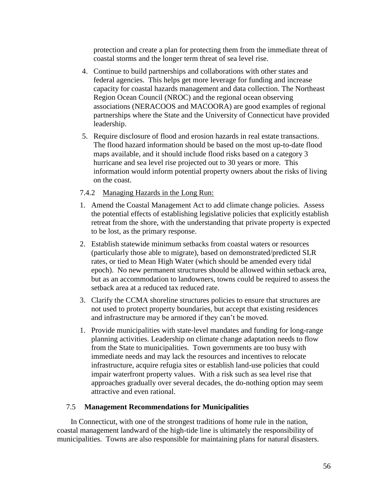protection and create a plan for protecting them from the immediate threat of coastal storms and the longer term threat of sea level rise.

- 4. Continue to build partnerships and collaborations with other states and federal agencies. This helps get more leverage for funding and increase capacity for coastal hazards management and data collection. The Northeast Region Ocean Council (NROC) and the regional ocean observing associations (NERACOOS and MACOORA) are good examples of regional partnerships where the State and the University of Connecticut have provided leadership.
- 5. Require disclosure of flood and erosion hazards in real estate transactions. The flood hazard information should be based on the most up-to-date flood maps available, and it should include flood risks based on a category 3 hurricane and sea level rise projected out to 30 years or more. This information would inform potential property owners about the risks of living on the coast.

# <span id="page-55-0"></span>7.4.2 Managing Hazards in the Long Run:

- 1. Amend the Coastal Management Act to add climate change policies. Assess the potential effects of establishing legislative policies that explicitly establish retreat from the shore, with the understanding that private property is expected to be lost, as the primary response.
- 2. Establish statewide minimum setbacks from coastal waters or resources (particularly those able to migrate), based on demonstrated/predicted SLR rates, or tied to Mean High Water (which should be amended every tidal epoch). No new permanent structures should be allowed within setback area, but as an accommodation to landowners, towns could be required to assess the setback area at a reduced tax reduced rate.
- 3. Clarify the CCMA shoreline structures policies to ensure that structures are not used to protect property boundaries, but accept that existing residences and infrastructure may be armored if they can't be moved.
- 1. Provide municipalities with state-level mandates and funding for long-range planning activities. Leadership on climate change adaptation needs to flow from the State to municipalities. Town governments are too busy with immediate needs and may lack the resources and incentives to relocate infrastructure, acquire refugia sites or establish land-use policies that could impair waterfront property values. With a risk such as sea level rise that approaches gradually over several decades, the do-nothing option may seem attractive and even rational.

# <span id="page-55-1"></span>7.5 **Management Recommendations for Municipalities**

In Connecticut, with one of the strongest traditions of home rule in the nation, coastal management landward of the high-tide line is ultimately the responsibility of municipalities. Towns are also responsible for maintaining plans for natural disasters.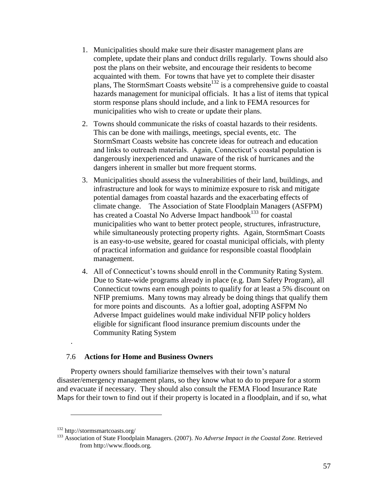- 1. Municipalities should make sure their disaster management plans are complete, update their plans and conduct drills regularly. Towns should also post the plans on their website, and encourage their residents to become acquainted with them. For towns that have yet to complete their disaster plans, The StormSmart Coasts website<sup>132</sup> is a comprehensive guide to coastal hazards management for municipal officials. It has a list of items that typical storm response plans should include, and a link to FEMA resources for municipalities who wish to create or update their plans.
- 2. Towns should communicate the risks of coastal hazards to their residents. This can be done with mailings, meetings, special events, etc. The StormSmart Coasts website has concrete ideas for outreach and education and links to outreach materials. Again, Connecticut's coastal population is dangerously inexperienced and unaware of the risk of hurricanes and the dangers inherent in smaller but more frequent storms.
- 3. Municipalities should assess the vulnerabilities of their land, buildings, and infrastructure and look for ways to minimize exposure to risk and mitigate potential damages from coastal hazards and the exacerbating effects of climate change. The Association of State Floodplain Managers (ASFPM) has created a Coastal No Adverse Impact handbook<sup>133</sup> for coastal municipalities who want to better protect people, structures, infrastructure, while simultaneously protecting property rights. Again, StormSmart Coasts is an easy-to-use website, geared for coastal municipal officials, with plenty of practical information and guidance for responsible coastal floodplain management.
- 4. All of Connecticut's towns should enroll in the Community Rating System. Due to State-wide programs already in place (e.g. Dam Safety Program), all Connecticut towns earn enough points to qualify for at least a 5% discount on NFIP premiums. Many towns may already be doing things that qualify them for more points and discounts. As a loftier goal, adopting ASFPM No Adverse Impact guidelines would make individual NFIP policy holders eligible for significant flood insurance premium discounts under the Community Rating System

#### <span id="page-56-0"></span>7.6 **Actions for Home and Business Owners**

Property owners should familiarize themselves with their town's natural disaster/emergency management plans, so they know what to do to prepare for a storm and evacuate if necessary. They should also consult the FEMA Flood Insurance Rate Maps for their town to find out if their property is located in a floodplain, and if so, what

.

<sup>132</sup> http://stormsmartcoasts.org/

<sup>133</sup> Association of State Floodplain Managers. (2007). *No Adverse Impact in the Coastal Zone.* Retrieved from http://www.floods.org.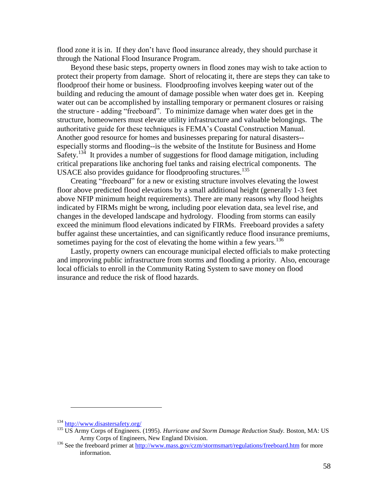flood zone it is in. If they don't have flood insurance already, they should purchase it through the National Flood Insurance Program.

Beyond these basic steps, property owners in flood zones may wish to take action to protect their property from damage. Short of relocating it, there are steps they can take to floodproof their home or business. Floodproofing involves keeping water out of the building and reducing the amount of damage possible when water does get in. Keeping water out can be accomplished by installing temporary or permanent closures or raising the structure - adding "freeboard". To minimize damage when water does get in the structure, homeowners must elevate utility infrastructure and valuable belongings. The authoritative guide for these techniques is FEMA's Coastal Construction Manual. Another good resource for homes and businesses preparing for natural disasters- especially storms and flooding--is the website of the Institute for Business and Home Safety.<sup>134</sup> It provides a number of suggestions for flood damage mitigation, including critical preparations like anchoring fuel tanks and raising electrical components. The USACE also provides guidance for floodproofing structures. 135

Creating "freeboard" for a new or existing structure involves elevating the lowest floor above predicted flood elevations by a small additional height (generally 1-3 feet above NFIP minimum height requirements). There are many reasons why flood heights indicated by FIRMs might be wrong, including poor elevation data, sea level rise, and changes in the developed landscape and hydrology. Flooding from storms can easily exceed the minimum flood elevations indicated by FIRMs. Freeboard provides a safety buffer against these uncertainties, and can significantly reduce flood insurance premiums, sometimes paying for the cost of elevating the home within a few years.<sup>136</sup>

Lastly, property owners can encourage municipal elected officials to make protecting and improving public infrastructure from storms and flooding a priority. Also, encourage local officials to enroll in the Community Rating System to save money on flood insurance and reduce the risk of flood hazards.

<sup>134</sup> <http://www.disastersafety.org/>

<sup>135</sup> US Army Corps of Engineers. (1995). *Hurricane and Storm Damage Reduction Study.* Boston, MA: US Army Corps of Engineers, New England Division.

<sup>&</sup>lt;sup>136</sup> See the freeboard primer a[t http://www.mass.gov/czm/stormsmart/regulations/freeboard.htm](http://www.mass.gov/czm/stormsmart/regulations/freeboard.htm) for more information.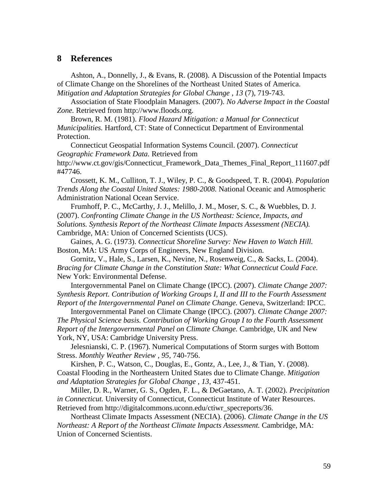## <span id="page-58-0"></span>**8 References**

Ashton, A., Donnelly, J., & Evans, R. (2008). A Discussion of the Potential Impacts of Climate Change on the Shorelines of the Northeast United States of America. *Mitigation and Adaptation Strategies for Global Change , 13* (7), 719-743.

Association of State Floodplain Managers. (2007). *No Adverse Impact in the Coastal Zone.* Retrieved from http://www.floods.org.

Brown, R. M. (1981). *Flood Hazard Mitigation: a Manual for Connecticut Municipalities.* Hartford, CT: State of Connecticut Department of Environmental Protection.

Connecticut Geospatial Information Systems Council. (2007). *Connecticut Geographic Framework Data.* Retrieved from

http://www.ct.gov/gis/Connecticut\_Framework\_Data\_Themes\_Final\_Report\_111607.pdf #47746.

Crossett, K. M., Culliton, T. J., Wiley, P. C., & Goodspeed, T. R. (2004). *Population Trends Along the Coastal United States: 1980-2008.* National Oceanic and Atmospheric Administration National Ocean Service.

Frumhoff, P. C., McCarthy, J. J., Melillo, J. M., Moser, S. C., & Wuebbles, D. J. (2007). *Confronting Climate Change in the US Northeast: Science, Impacts, and Solutions. Synthesis Report of the Northeast Climate Impacts Assessment (NECIA).* Cambridge, MA: Union of Concerned Scientists (UCS).

Gaines, A. G. (1973). *Connecticut Shoreline Survey: New Haven to Watch Hill.* Boston, MA: US Army Corps of Engineers, New England Division.

Gornitz, V., Hale, S., Larsen, K., Nevine, N., Rosenweig, C., & Sacks, L. (2004). *Bracing for Climate Change in the Constitution State: What Connecticut Could Face.* New York: Environmental Defense.

Intergovernmental Panel on Climate Change (IPCC). (2007). *Climate Change 2007: Synthesis Report. Contribution of Working Groups I, II and III to the Fourth Assessment Report of the Intergovernmental Panel on Climate Change.* Geneva, Switzerland: IPCC.

Intergovernmental Panel on Climate Change (IPCC). (2007). *Climate Change 2007: The Physical Science basis. Contribution of Working Group I to the Fourth Assessment Report of the Intergovernmental Panel on Climate Change.* Cambridge, UK and New York, NY, USA: Cambridge University Press.

Jelesnianski, C. P. (1967). Numerical Computations of Storm surges with Bottom Stress. *Monthly Weather Review , 95*, 740-756.

Kirshen, P. C., Watson, C., Douglas, E., Gontz, A., Lee, J., & Tian, Y. (2008). Coastal Flooding in the Northeastern United States due to Climate Change. *Mitigation and Adaptation Strategies for Global Change , 13*, 437-451.

Miller, D. R., Warner, G. S., Ogden, F. L., & DeGaetano, A. T. (2002). *Precipitation in Connecticut.* University of Connecticut, Connecticut Institute of Water Resources. Retrieved from http://digitalcommons.uconn.edu/ctiwr\_specreports/36.

Northeast Climate Impacts Assessment (NECIA). (2006). *Climate Change in the US Northeast: A Report of the Northeast Climate Impacts Assessment.* Cambridge, MA: Union of Concerned Scientists.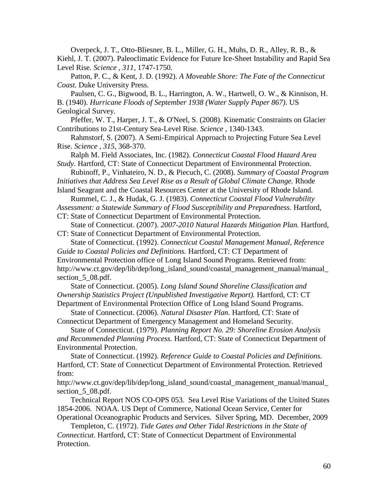Overpeck, J. T., Otto-Bliesner, B. L., Miller, G. H., Muhs, D. R., Alley, R. B., & Kiehl, J. T. (2007). Paleoclimatic Evidence for Future Ice-Sheet Instability and Rapid Sea Level Rise. *Science , 311*, 1747-1750.

Patton, P. C., & Kent, J. D. (1992). *A Moveable Shore: The Fate of the Connecticut Coast.* Duke University Press.

Paulsen, C. G., Bigwood, B. L., Harrington, A. W., Hartwell, O. W., & Kinnison, H. B. (1940). *Hurricane Floods of September 1938 (Water Supply Paper 867).* US Geological Survey.

Pfeffer, W. T., Harper, J. T., & O'Neel, S. (2008). Kinematic Constraints on Glacier Contributions to 21st-Century Sea-Level Rise. *Science* , 1340-1343.

Rahmstorf, S. (2007). A Semi-Empirical Approach to Projecting Future Sea Level Rise. *Science , 315*, 368-370.

Ralph M. Field Associates, Inc. (1982). *Connecticut Coastal Flood Hazard Area Study.* Hartford, CT: State of Connecticut Department of Environmental Protection.

Rubinoff, P., Vinhateiro, N. D., & Piecuch, C. (2008). *Summary of Coastal Program Initiatives that Address Sea Level Rise as a Result of Global Climate Change.* Rhode

Island Seagrant and the Coastal Resources Center at the University of Rhode Island. Rummel, C. J., & Hudak, G. J. (1983). *Connecticut Coastal Flood Vulnerability* 

*Assessment: a Statewide Summary of Flood Susceptibility and Preparedness.* Hartford,

CT: State of Connecticut Department of Environmental Protection.

State of Connecticut. (2007). *2007-2010 Natural Hazards Mitigation Plan.* Hartford, CT: State of Connecticut Department of Environmental Protection.

State of Connecticut. (1992). *Connecticut Coastal Management Manual, Reference Guide to Coastal Policies and Definitions.* Hartford, CT: CT Department of Environmental Protection office of Long Island Sound Programs. Retrieved from: http://www.ct.gov/dep/lib/dep/long\_island\_sound/coastal\_management\_manual/manual\_ section 5 08.pdf.

State of Connecticut. (2005). *Long Island Sound Shoreline Classification and Ownership Statistics Project (Unpublished Investigative Report).* Hartford, CT: CT Department of Environmental Protection Office of Long Island Sound Programs.

State of Connecticut. (2006). *Natural Disaster Plan.* Hartford, CT: State of Connecticut Department of Emergency Management and Homeland Security.

State of Connecticut. (1979). *Planning Report No. 29: Shoreline Erosion Analysis and Recommended Planning Process.* Hartford, CT: State of Connecticut Department of Environmental Protection.

State of Connecticut. (1992). *Reference Guide to Coastal Policies and Definitions.* Hartford, CT: State of Connecticut Department of Environmental Protection. Retrieved from:

http://www.ct.gov/dep/lib/dep/long\_island\_sound/coastal\_management\_manual/manual\_ section 5 08.pdf.

Technical Report NOS CO-OPS 053. Sea Level Rise Variations of the United States 1854-2006. NOAA. US Dept of Commerce, National Ocean Service, Center for Operational Oceanographic Products and Services. Silver Spring, MD. December, 2009

Templeton, C. (1972). *Tide Gates and Other Tidal Restrictions in the State of Connecticut.* Hartford, CT: State of Connecticut Department of Environmental Protection.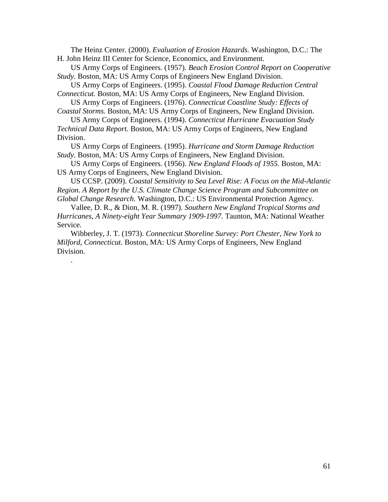The Heinz Center. (2000). *Evaluation of Erosion Hazards.* Washington, D.C.: The H. John Heinz III Center for Science, Economics, and Environment.

US Army Corps of Engineers. (1957). *Beach Erosion Control Report on Cooperative Study.* Boston, MA: US Army Corps of Engineers New England Division.

US Army Corps of Engineers. (1995). *Coastal Flood Damage Reduction Central Connecticut.* Boston, MA: US Army Corps of Engineers, New England Division.

US Army Corps of Engineers. (1976). *Connecticut Coastline Study: Effects of Coastal Storms.* Boston, MA: US Army Corps of Engineers, New England Division.

US Army Corps of Engineers. (1994). *Connecticut Hurricane Evacuation Study Technical Data Report.* Boston, MA: US Army Corps of Engineers, New England Division.

US Army Corps of Engineers. (1995). *Hurricane and Storm Damage Reduction Study.* Boston, MA: US Army Corps of Engineers, New England Division.

US Army Corps of Engineers. (1956). *New England Floods of 1955.* Boston, MA: US Army Corps of Engineers, New England Division.

US CCSP. (2009). *Coastal Sensitivity to Sea Level Rise: A Focus on the Mid-Atlantic Region. A Report by the U.S. Climate Change Science Program and Subcommittee on Global Change Research.* Washington, D.C.: US Environmental Protection Agency.

Vallee, D. R., & Dion, M. R. (1997). *Southern New England Tropical Storms and Hurricanes, A Ninety-eight Year Summary 1909-1997.* Taunton, MA: National Weather Service.

Wibberley, J. T. (1973). *Connecticut Shoreline Survey: Port Chester, New York to Milford, Connecticut.* Boston, MA: US Army Corps of Engineers, New England Division.

.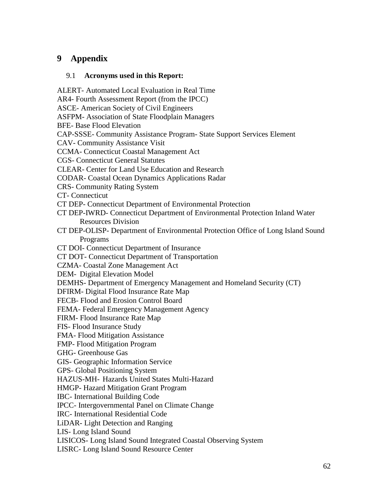# <span id="page-61-0"></span>**9 Appendix**

# <span id="page-61-1"></span>9.1 **Acronyms used in this Report:**

ALERT- Automated Local Evaluation in Real Time AR4- Fourth Assessment Report (from the IPCC) ASCE- American Society of Civil Engineers ASFPM- Association of State Floodplain Managers BFE- Base Flood Elevation CAP-SSSE- Community Assistance Program- State Support Services Element CAV- Community Assistance Visit CCMA- Connecticut Coastal Management Act CGS- Connecticut General Statutes CLEAR- Center for Land Use Education and Research CODAR- Coastal Ocean Dynamics Applications Radar CRS- Community Rating System CT- Connecticut CT DEP- Connecticut Department of Environmental Protection CT DEP-IWRD- Connecticut Department of Environmental Protection Inland Water Resources Division CT DEP-OLISP- Department of Environmental Protection Office of Long Island Sound Programs CT DOI- Connecticut Department of Insurance CT DOT- Connecticut Department of Transportation CZMA- Coastal Zone Management Act DEM- Digital Elevation Model DEMHS- Department of Emergency Management and Homeland Security (CT) DFIRM- Digital Flood Insurance Rate Map FECB- Flood and Erosion Control Board FEMA- Federal Emergency Management Agency FIRM- Flood Insurance Rate Map FIS- Flood Insurance Study FMA- Flood Mitigation Assistance FMP- Flood Mitigation Program GHG- Greenhouse Gas GIS- Geographic Information Service GPS- Global Positioning System HAZUS-MH- Hazards United States Multi-Hazard HMGP- Hazard Mitigation Grant Program IBC- International Building Code IPCC- Intergovernmental Panel on Climate Change IRC- International Residential Code LiDAR- Light Detection and Ranging LIS- Long Island Sound LISICOS- Long Island Sound Integrated Coastal Observing System LISRC- Long Island Sound Resource Center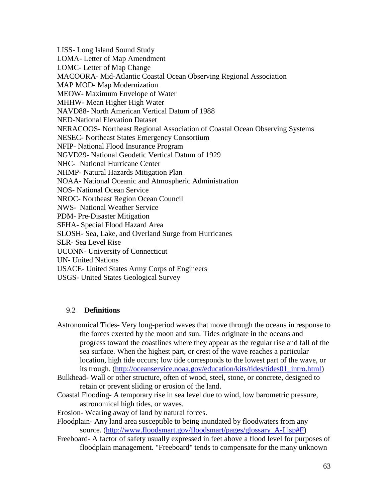LISS- Long Island Sound Study LOMA- Letter of Map Amendment LOMC- Letter of Map Change MACOORA- Mid-Atlantic Coastal Ocean Observing Regional Association MAP MOD- Map Modernization MEOW- Maximum Envelope of Water MHHW- Mean Higher High Water NAVD88- North American Vertical Datum of 1988 NED-National Elevation Dataset NERACOOS- Northeast Regional Association of Coastal Ocean Observing Systems NESEC- Northeast States Emergency Consortium NFIP- National Flood Insurance Program NGVD29- National Geodetic Vertical Datum of 1929 NHC- National Hurricane Center NHMP- Natural Hazards Mitigation Plan NOAA- National Oceanic and Atmospheric Administration NOS- National Ocean Service NROC- Northeast Region Ocean Council NWS- National Weather Service PDM- Pre-Disaster Mitigation SFHA- Special Flood Hazard Area SLOSH- Sea, Lake, and Overland Surge from Hurricanes SLR- Sea Level Rise UCONN- University of Connecticut UN- United Nations USACE- United States Army Corps of Engineers USGS- United States Geological Survey

## <span id="page-62-0"></span>9.2 **Definitions**

- Astronomical Tides- Very long-period waves that move through the oceans in response to the forces exerted by the moon and sun. Tides originate in the oceans and progress toward the coastlines where they appear as the regular rise and fall of the sea surface. When the highest part, or crest of the wave reaches a particular location, high tide occurs; low tide corresponds to the lowest part of the wave, or its trough. [\(http://oceanservice.noaa.gov/education/kits/tides/tides01\\_intro.html\)](http://oceanservice.noaa.gov/education/kits/tides/tides01_intro.html)
- Bulkhead- Wall or other structure, often of wood, steel, stone, or concrete, designed to retain or prevent sliding or erosion of the land.
- Coastal Flooding- A temporary rise in sea level due to wind, low barometric pressure, astronomical high tides, or waves.
- Erosion- Wearing away of land by natural forces.
- Floodplain- Any land area susceptible to being inundated by floodwaters from any source. (http://www.floodsmart.gov/floodsmart/pages/glossary A-I.jsp#F)
- Freeboard- A factor of safety usually expressed in feet above a flood level for purposes of floodplain management. "Freeboard" tends to compensate for the many unknown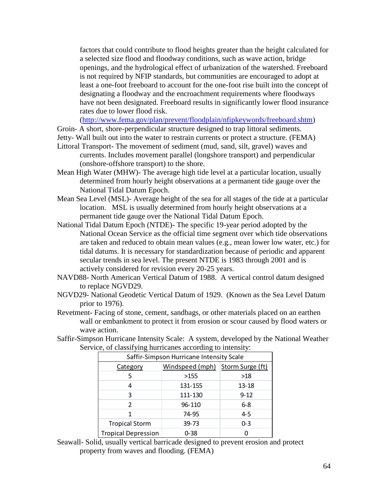factors that could contribute to flood heights greater than the height calculated for a selected size flood and floodway conditions, such as wave action, bridge openings, and the hydrological effect of urbanization of the watershed. Freeboard is not required by NFIP standards, but communities are encouraged to adopt at least a one-foot freeboard to account for the one-foot rise built into the concept of designating a floodway and the encroachment requirements where floodways have not been designated. Freeboard results in significantly lower flood insurance rates due to lower flood risk.

[\(http://www.fema.gov/plan/prevent/floodplain/nfipkeywords/freeboard.shtm\)](http://www.fema.gov/plan/prevent/floodplain/nfipkeywords/freeboard.shtm)

Groin- A short, shore-perpendicular structure designed to trap littoral sediments.

Jetty- Wall built out into the water to restrain currents or protect a structure. (FEMA) Littoral Transport- The movement of sediment (mud, sand, silt, gravel) waves and

- currents. Includes movement parallel (longshore transport) and perpendicular (onshore-offshore transport) to the shore.
- Mean High Water (MHW)- The average high tide level at a particular location, usually determined from hourly height observations at a permanent tide gauge over the National Tidal Datum Epoch.
- Mean Sea Level (MSL)- Average height of the sea for all stages of the tide at a particular location. MSL is usually determined from hourly height observations at a permanent tide gauge over the National Tidal Datum Epoch.
- National Tidal Datum Epoch (NTDE)- The specific 19-year period adopted by the National Ocean Service as the official time segment over which tide observations are taken and reduced to obtain mean values (e.g., mean lower low water, etc.) for tidal datums. It is necessary for standardization because of periodic and apparent secular trends in sea level. The present NTDE is 1983 through 2001 and is actively considered for revision every 20-25 years.
- NAVD88- North American Vertical Datum of 1988. A vertical control datum designed to replace NGVD29.
- NGVD29- National Geodetic Vertical Datum of 1929. (Known as the Sea Level Datum prior to 1976).
- Revetment- Facing of stone, cement, sandbags, or other materials placed on an earthen wall or embankment to protect it from erosion or scour caused by flood waters or wave action.
- Saffir-Simpson Hurricane Intensity Scale: A system, developed by the National Weather Service, of classifying hurricanes according to intensity:

| Saffir-Simpson Hurricane Intensity Scale |                 |                  |  |  |  |
|------------------------------------------|-----------------|------------------|--|--|--|
| Category                                 | Windspeed (mph) | Storm Surge (ft) |  |  |  |
| 5                                        | >155            | >18              |  |  |  |
|                                          | 131-155         | $13 - 18$        |  |  |  |
| ξ                                        | 111-130         | $9 - 12$         |  |  |  |
| 2                                        | 96-110          | $6 - 8$          |  |  |  |
|                                          | 74-95           | $4 - 5$          |  |  |  |
| <b>Tropical Storm</b>                    | 39-73           | $0 - 3$          |  |  |  |
| <b>Tropical Depression</b>               | $0 - 38$        |                  |  |  |  |

Seawall- Solid, usually vertical barricade designed to prevent erosion and protect property from waves and flooding. (FEMA)